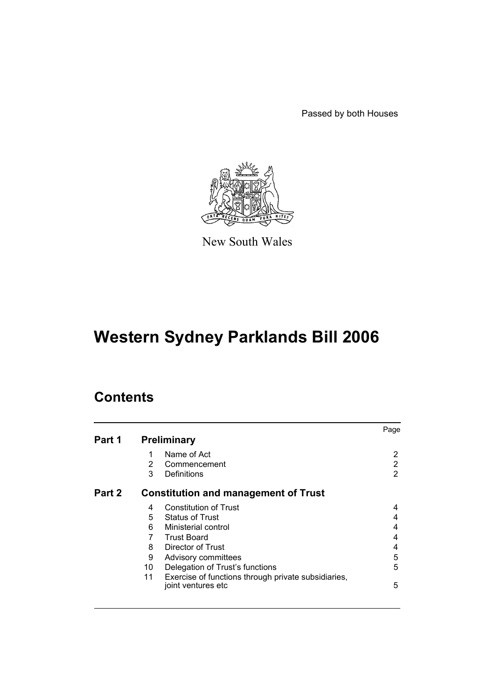Passed by both Houses



New South Wales

# **Western Sydney Parklands Bill 2006**

# **Contents**

|        |                |                                                                            | Page |
|--------|----------------|----------------------------------------------------------------------------|------|
| Part 1 |                | <b>Preliminary</b>                                                         |      |
|        | 1              | Name of Act                                                                | 2    |
|        | $\overline{2}$ | Commencement                                                               | 2    |
|        | 3              | Definitions                                                                | 2    |
| Part 2 |                | <b>Constitution and management of Trust</b>                                |      |
|        | 4              | <b>Constitution of Trust</b>                                               | 4    |
|        | 5              | <b>Status of Trust</b>                                                     | 4    |
|        | 6              | Ministerial control                                                        | 4    |
|        | 7              | <b>Trust Board</b>                                                         | 4    |
|        | 8              | Director of Trust                                                          | 4    |
|        | 9              | Advisory committees                                                        | 5    |
|        | 10             | Delegation of Trust's functions                                            | 5    |
|        | 11             | Exercise of functions through private subsidiaries,<br>joint ventures etc. | 5    |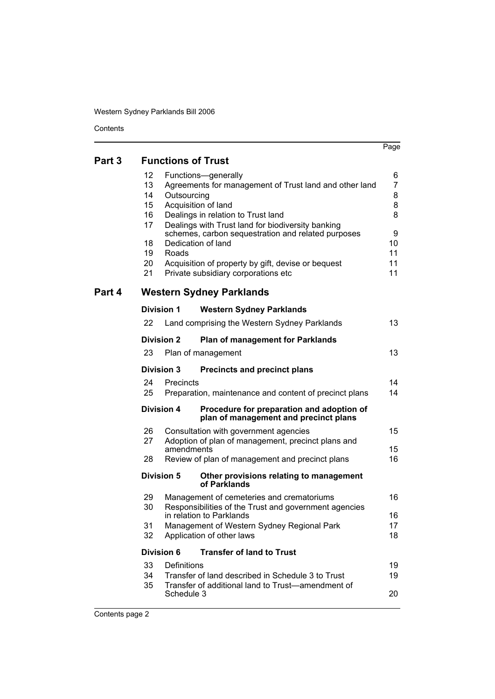$\overline{a}$ 

|        |    |                   |                                                                                                         | Page |
|--------|----|-------------------|---------------------------------------------------------------------------------------------------------|------|
| Part 3 |    |                   | <b>Functions of Trust</b>                                                                               |      |
|        | 12 |                   | Functions-generally                                                                                     | 6    |
|        | 13 |                   | Agreements for management of Trust land and other land                                                  | 7    |
|        | 14 | Outsourcing       |                                                                                                         | 8    |
|        | 15 |                   | Acquisition of land                                                                                     | 8    |
|        | 16 |                   | Dealings in relation to Trust land                                                                      | 8    |
|        | 17 |                   | Dealings with Trust land for biodiversity banking<br>schemes, carbon sequestration and related purposes | 9    |
|        | 18 |                   | Dedication of land                                                                                      | 10   |
|        | 19 | Roads             |                                                                                                         | 11   |
|        | 20 |                   | Acquisition of property by gift, devise or bequest                                                      | 11   |
|        | 21 |                   | Private subsidiary corporations etc                                                                     | 11   |
| Part 4 |    |                   | <b>Western Sydney Parklands</b>                                                                         |      |
|        |    | <b>Division 1</b> | <b>Western Sydney Parklands</b>                                                                         |      |
|        | 22 |                   | Land comprising the Western Sydney Parklands                                                            | 13   |
|        |    | <b>Division 2</b> | <b>Plan of management for Parklands</b>                                                                 |      |
|        | 23 |                   | Plan of management                                                                                      | 13   |
|        |    | <b>Division 3</b> | <b>Precincts and precinct plans</b>                                                                     |      |
|        | 24 | Precincts         |                                                                                                         | 14   |
|        | 25 |                   | Preparation, maintenance and content of precinct plans                                                  | 14   |
|        |    | <b>Division 4</b> | Procedure for preparation and adoption of<br>plan of management and precinct plans                      |      |
|        | 26 |                   | Consultation with government agencies                                                                   | 15   |
|        | 27 |                   | Adoption of plan of management, precinct plans and                                                      |      |
|        |    | amendments        |                                                                                                         | 15   |
|        | 28 |                   | Review of plan of management and precinct plans                                                         | 16   |
|        |    | <b>Division 5</b> | Other provisions relating to management<br>of Parklands                                                 |      |
|        | 29 |                   | Management of cemeteries and crematoriums                                                               | 16   |
|        | 30 |                   | Responsibilities of the Trust and government agencies<br>in relation to Parklands                       | 16   |
|        | 31 |                   | Management of Western Sydney Regional Park                                                              | 17   |
|        | 32 |                   | Application of other laws                                                                               | 18   |
|        |    | <b>Division 6</b> | <b>Transfer of land to Trust</b>                                                                        |      |
|        | 33 | Definitions       |                                                                                                         | 19   |
|        | 34 |                   | Transfer of land described in Schedule 3 to Trust                                                       | 19   |
|        | 35 |                   | Transfer of additional land to Trust—amendment of                                                       |      |
|        |    | Schedule 3        |                                                                                                         | 20   |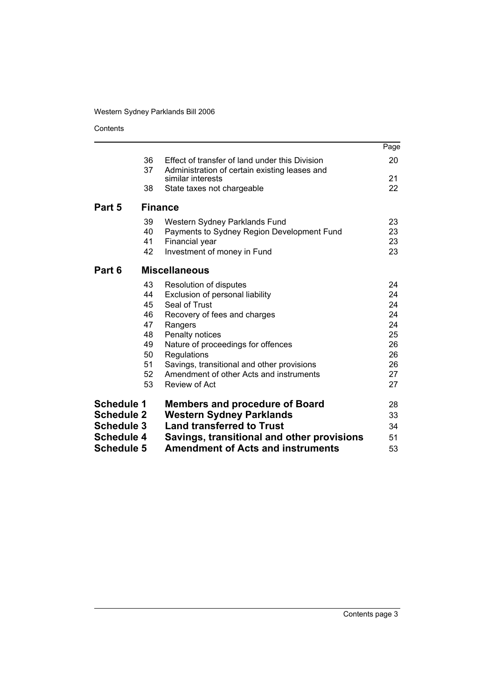Contents

|                   |                      |                                                                                                                              | Page                 |
|-------------------|----------------------|------------------------------------------------------------------------------------------------------------------------------|----------------------|
|                   | 36<br>37             | Effect of transfer of land under this Division<br>Administration of certain existing leases and                              | 20                   |
|                   |                      | similar interests                                                                                                            | 21                   |
|                   | 38                   | State taxes not chargeable                                                                                                   | 22                   |
| Part 5            |                      | <b>Finance</b>                                                                                                               |                      |
|                   | 39<br>40<br>41<br>42 | Western Sydney Parklands Fund<br>Payments to Sydney Region Development Fund<br>Financial year<br>Investment of money in Fund | 23<br>23<br>23<br>23 |
| Part 6            |                      | <b>Miscellaneous</b>                                                                                                         |                      |
|                   | 43                   | Resolution of disputes                                                                                                       | 24                   |
|                   | 44                   | Exclusion of personal liability                                                                                              | 24                   |
|                   | 45                   | Seal of Trust                                                                                                                | 24                   |
|                   | 46<br>47             | Recovery of fees and charges                                                                                                 | 24<br>24             |
|                   | 48                   | Rangers<br>Penalty notices                                                                                                   | 25                   |
|                   | 49                   | Nature of proceedings for offences                                                                                           | 26                   |
|                   | 50                   | Regulations                                                                                                                  | 26                   |
|                   | 51                   | Savings, transitional and other provisions                                                                                   | 26                   |
|                   | 52                   | Amendment of other Acts and instruments                                                                                      | 27                   |
|                   | 53                   | Review of Act                                                                                                                | 27                   |
| <b>Schedule 1</b> |                      | <b>Members and procedure of Board</b>                                                                                        | 28                   |
| <b>Schedule 2</b> |                      | <b>Western Sydney Parklands</b>                                                                                              | 33                   |
| <b>Schedule 3</b> |                      | <b>Land transferred to Trust</b>                                                                                             | 34                   |
| <b>Schedule 4</b> |                      | Savings, transitional and other provisions                                                                                   | 51                   |
| <b>Schedule 5</b> |                      | <b>Amendment of Acts and instruments</b>                                                                                     | 53                   |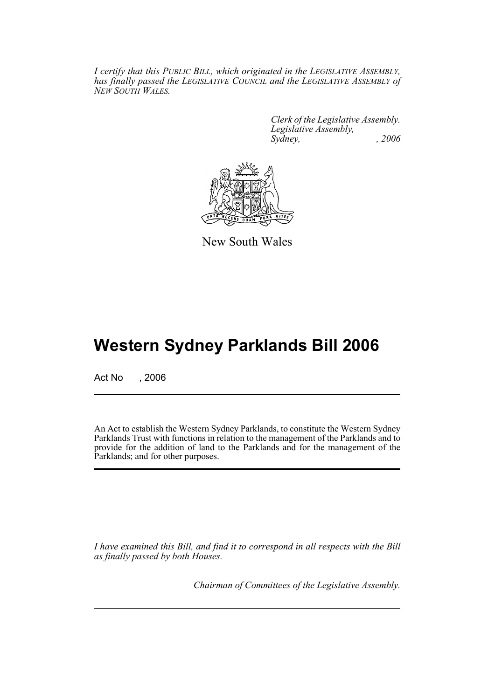*I certify that this PUBLIC BILL, which originated in the LEGISLATIVE ASSEMBLY, has finally passed the LEGISLATIVE COUNCIL and the LEGISLATIVE ASSEMBLY of NEW SOUTH WALES.*

> *Clerk of the Legislative Assembly. Legislative Assembly, Sydney, , 2006*



New South Wales

# **Western Sydney Parklands Bill 2006**

Act No . 2006

An Act to establish the Western Sydney Parklands, to constitute the Western Sydney Parklands Trust with functions in relation to the management of the Parklands and to provide for the addition of land to the Parklands and for the management of the Parklands; and for other purposes.

*I have examined this Bill, and find it to correspond in all respects with the Bill as finally passed by both Houses.*

*Chairman of Committees of the Legislative Assembly.*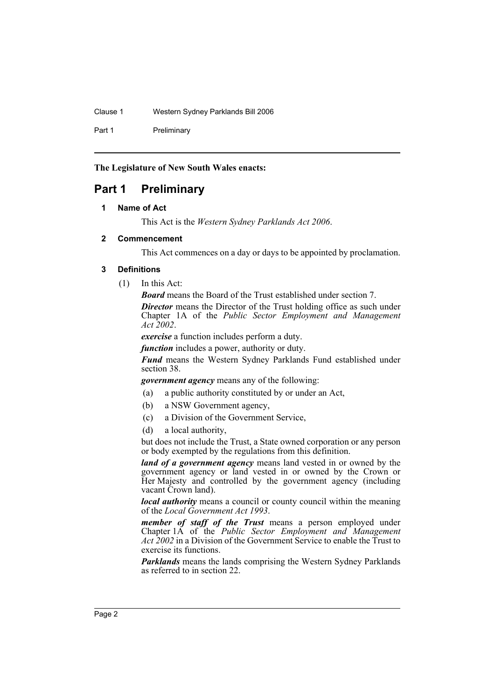Clause 1 Western Sydney Parklands Bill 2006

Part 1 Preliminary

**The Legislature of New South Wales enacts:**

# **Part 1 Preliminary**

# **1 Name of Act**

This Act is the *Western Sydney Parklands Act 2006*.

# **2 Commencement**

This Act commences on a day or days to be appointed by proclamation.

# **3 Definitions**

(1) In this Act:

*Board* means the Board of the Trust established under section 7. *Director* means the Director of the Trust holding office as such under Chapter 1A of the *Public Sector Employment and Management Act 2002*.

*exercise* a function includes perform a duty.

*function* includes a power, authority or duty.

*Fund* means the Western Sydney Parklands Fund established under section 38.

*government agency* means any of the following:

- (a) a public authority constituted by or under an Act,
- (b) a NSW Government agency,
- (c) a Division of the Government Service,
- (d) a local authority,

but does not include the Trust, a State owned corporation or any person or body exempted by the regulations from this definition.

*land of a government agency* means land vested in or owned by the government agency or land vested in or owned by the Crown or Her Majesty and controlled by the government agency (including vacant Crown land).

*local authority* means a council or county council within the meaning of the *Local Government Act 1993*.

*member of staff of the Trust* means a person employed under Chapter 1A of the *Public Sector Employment and Management Act 2002* in a Division of the Government Service to enable the Trust to exercise its functions.

*Parklands* means the lands comprising the Western Sydney Parklands as referred to in section 22.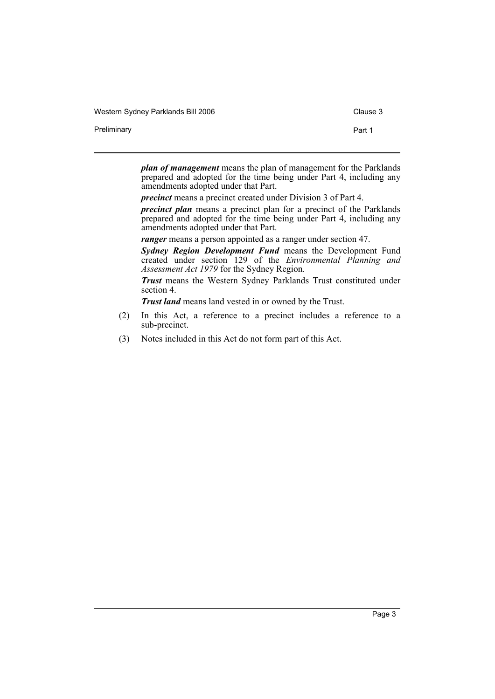Western Sydney Parklands Bill 2006 Clause 3

Preliminary **Part 1** 

*plan of management* means the plan of management for the Parklands prepared and adopted for the time being under Part 4, including any amendments adopted under that Part.

*precinct* means a precinct created under Division 3 of Part 4.

*precinct plan* means a precinct plan for a precinct of the Parklands prepared and adopted for the time being under Part 4, including any amendments adopted under that Part.

*ranger* means a person appointed as a ranger under section 47.

*Sydney Region Development Fund* means the Development Fund created under section 129 of the *Environmental Planning and Assessment Act 1979* for the Sydney Region.

*Trust* means the Western Sydney Parklands Trust constituted under section 4.

*Trust land* means land vested in or owned by the Trust.

- (2) In this Act, a reference to a precinct includes a reference to a sub-precinct.
- (3) Notes included in this Act do not form part of this Act.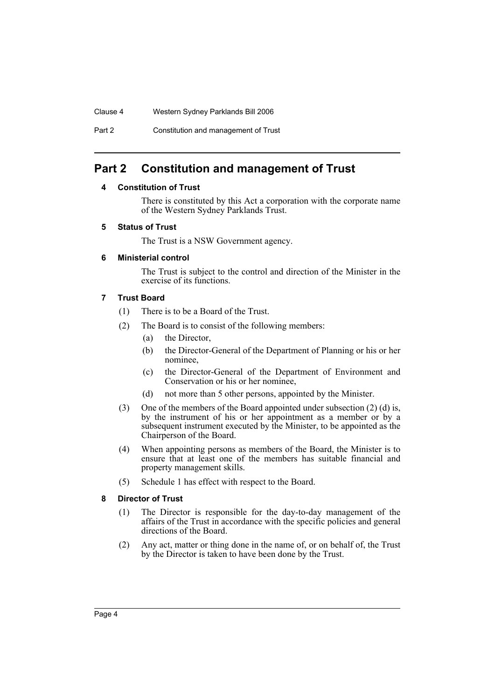# Clause 4 Western Sydney Parklands Bill 2006

Part 2 Constitution and management of Trust

# **Part 2 Constitution and management of Trust**

# **4 Constitution of Trust**

There is constituted by this Act a corporation with the corporate name of the Western Sydney Parklands Trust.

## **5 Status of Trust**

The Trust is a NSW Government agency.

# **6 Ministerial control**

The Trust is subject to the control and direction of the Minister in the exercise of its functions.

# **7 Trust Board**

- (1) There is to be a Board of the Trust.
- (2) The Board is to consist of the following members:
	- (a) the Director,
	- (b) the Director-General of the Department of Planning or his or her nominee,
	- (c) the Director-General of the Department of Environment and Conservation or his or her nominee,
	- (d) not more than 5 other persons, appointed by the Minister.
- (3) One of the members of the Board appointed under subsection (2) (d) is, by the instrument of his or her appointment as a member or by a subsequent instrument executed by the Minister, to be appointed as the Chairperson of the Board.
- (4) When appointing persons as members of the Board, the Minister is to ensure that at least one of the members has suitable financial and property management skills.
- (5) Schedule 1 has effect with respect to the Board.

# **8 Director of Trust**

- (1) The Director is responsible for the day-to-day management of the affairs of the Trust in accordance with the specific policies and general directions of the Board.
- (2) Any act, matter or thing done in the name of, or on behalf of, the Trust by the Director is taken to have been done by the Trust.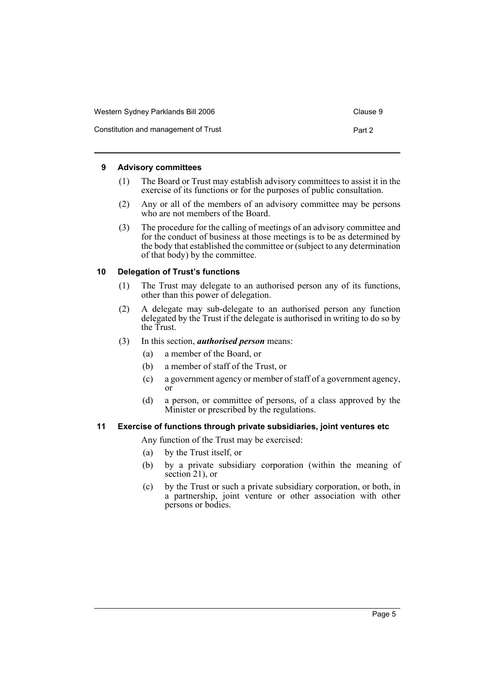| Western Sydney Parklands Bill 2006   | Clause 9 |
|--------------------------------------|----------|
| Constitution and management of Trust | Part 2   |

#### **9 Advisory committees**

- (1) The Board or Trust may establish advisory committees to assist it in the exercise of its functions or for the purposes of public consultation.
- (2) Any or all of the members of an advisory committee may be persons who are not members of the Board.
- (3) The procedure for the calling of meetings of an advisory committee and for the conduct of business at those meetings is to be as determined by the body that established the committee or (subject to any determination of that body) by the committee.

## **10 Delegation of Trust's functions**

- (1) The Trust may delegate to an authorised person any of its functions, other than this power of delegation.
- (2) A delegate may sub-delegate to an authorised person any function delegated by the Trust if the delegate is authorised in writing to do so by the Trust.
- (3) In this section, *authorised person* means:
	- (a) a member of the Board, or
	- (b) a member of staff of the Trust, or
	- (c) a government agency or member of staff of a government agency, or
	- (d) a person, or committee of persons, of a class approved by the Minister or prescribed by the regulations.

# **11 Exercise of functions through private subsidiaries, joint ventures etc**

Any function of the Trust may be exercised:

- (a) by the Trust itself, or
- (b) by a private subsidiary corporation (within the meaning of section 21), or
- (c) by the Trust or such a private subsidiary corporation, or both, in a partnership, joint venture or other association with other persons or bodies.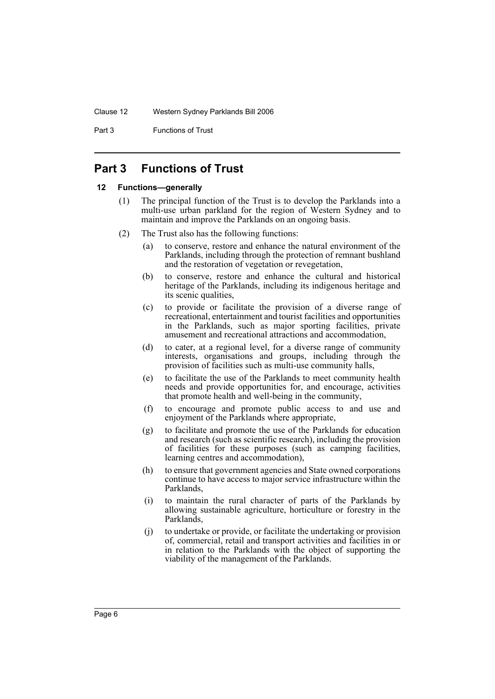Part 3 **Functions of Trust** 

# **Part 3 Functions of Trust**

#### **12 Functions—generally**

- (1) The principal function of the Trust is to develop the Parklands into a multi-use urban parkland for the region of Western Sydney and to maintain and improve the Parklands on an ongoing basis.
- (2) The Trust also has the following functions:
	- (a) to conserve, restore and enhance the natural environment of the Parklands, including through the protection of remnant bushland and the restoration of vegetation or revegetation,
	- (b) to conserve, restore and enhance the cultural and historical heritage of the Parklands, including its indigenous heritage and its scenic qualities,
	- (c) to provide or facilitate the provision of a diverse range of recreational, entertainment and tourist facilities and opportunities in the Parklands, such as major sporting facilities, private amusement and recreational attractions and accommodation,
	- (d) to cater, at a regional level, for a diverse range of community interests, organisations and groups, including through the provision of facilities such as multi-use community halls,
	- (e) to facilitate the use of the Parklands to meet community health needs and provide opportunities for, and encourage, activities that promote health and well-being in the community,
	- (f) to encourage and promote public access to and use and enjoyment of the Parklands where appropriate,
	- (g) to facilitate and promote the use of the Parklands for education and research (such as scientific research), including the provision of facilities for these purposes (such as camping facilities, learning centres and accommodation),
	- (h) to ensure that government agencies and State owned corporations continue to have access to major service infrastructure within the Parklands,
	- (i) to maintain the rural character of parts of the Parklands by allowing sustainable agriculture, horticulture or forestry in the Parklands,
	- (j) to undertake or provide, or facilitate the undertaking or provision of, commercial, retail and transport activities and facilities in or in relation to the Parklands with the object of supporting the viability of the management of the Parklands.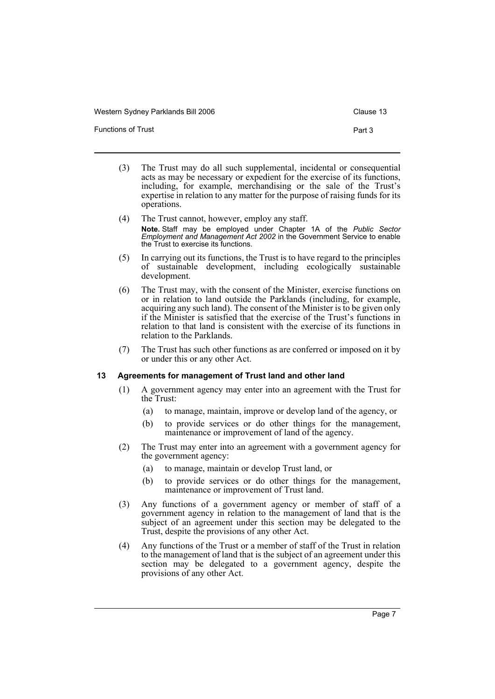Western Sydney Parklands Bill 2006 Clause 13

Functions of Trust Part 3

- (3) The Trust may do all such supplemental, incidental or consequential acts as may be necessary or expedient for the exercise of its functions, including, for example, merchandising or the sale of the Trust's expertise in relation to any matter for the purpose of raising funds for its operations.
- (4) The Trust cannot, however, employ any staff. **Note.** Staff may be employed under Chapter 1A of the *Public Sector Employment and Management Act 2002* in the Government Service to enable the Trust to exercise its functions.
- (5) In carrying out its functions, the Trust is to have regard to the principles of sustainable development, including ecologically sustainable development.
- (6) The Trust may, with the consent of the Minister, exercise functions on or in relation to land outside the Parklands (including, for example, acquiring any such land). The consent of the Minister is to be given only if the Minister is satisfied that the exercise of the Trust's functions in relation to that land is consistent with the exercise of its functions in relation to the Parklands.
- (7) The Trust has such other functions as are conferred or imposed on it by or under this or any other Act.

#### **13 Agreements for management of Trust land and other land**

- (1) A government agency may enter into an agreement with the Trust for the Trust:
	- (a) to manage, maintain, improve or develop land of the agency, or
	- (b) to provide services or do other things for the management, maintenance or improvement of land of the agency.
- (2) The Trust may enter into an agreement with a government agency for the government agency:
	- (a) to manage, maintain or develop Trust land, or
	- (b) to provide services or do other things for the management, maintenance or improvement of Trust land.
- (3) Any functions of a government agency or member of staff of a government agency in relation to the management of land that is the subject of an agreement under this section may be delegated to the Trust, despite the provisions of any other Act.
- (4) Any functions of the Trust or a member of staff of the Trust in relation to the management of land that is the subject of an agreement under this section may be delegated to a government agency, despite the provisions of any other Act.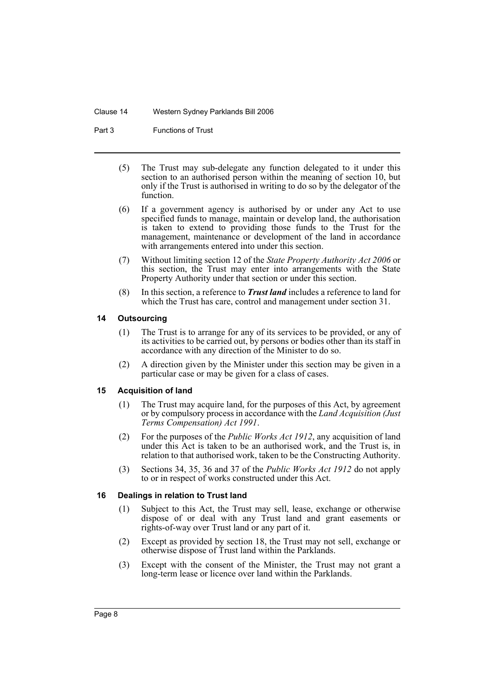#### Clause 14 Western Sydney Parklands Bill 2006

Part 3 Functions of Trust

- (5) The Trust may sub-delegate any function delegated to it under this section to an authorised person within the meaning of section 10, but only if the Trust is authorised in writing to do so by the delegator of the function.
- (6) If a government agency is authorised by or under any Act to use specified funds to manage, maintain or develop land, the authorisation is taken to extend to providing those funds to the Trust for the management, maintenance or development of the land in accordance with arrangements entered into under this section.
- (7) Without limiting section 12 of the *State Property Authority Act 2006* or this section, the Trust may enter into arrangements with the State Property Authority under that section or under this section.
- (8) In this section, a reference to *Trust land* includes a reference to land for which the Trust has care, control and management under section 31.

## **14 Outsourcing**

- (1) The Trust is to arrange for any of its services to be provided, or any of its activities to be carried out, by persons or bodies other than its staff in accordance with any direction of the Minister to do so.
- (2) A direction given by the Minister under this section may be given in a particular case or may be given for a class of cases.

# **15 Acquisition of land**

- (1) The Trust may acquire land, for the purposes of this Act, by agreement or by compulsory process in accordance with the *Land Acquisition (Just Terms Compensation) Act 1991*.
- (2) For the purposes of the *Public Works Act 1912*, any acquisition of land under this Act is taken to be an authorised work, and the Trust is, in relation to that authorised work, taken to be the Constructing Authority.
- (3) Sections 34, 35, 36 and 37 of the *Public Works Act 1912* do not apply to or in respect of works constructed under this Act.

#### **16 Dealings in relation to Trust land**

- (1) Subject to this Act, the Trust may sell, lease, exchange or otherwise dispose of or deal with any Trust land and grant easements or rights-of-way over Trust land or any part of it.
- (2) Except as provided by section 18, the Trust may not sell, exchange or otherwise dispose of Trust land within the Parklands.
- (3) Except with the consent of the Minister, the Trust may not grant a long-term lease or licence over land within the Parklands.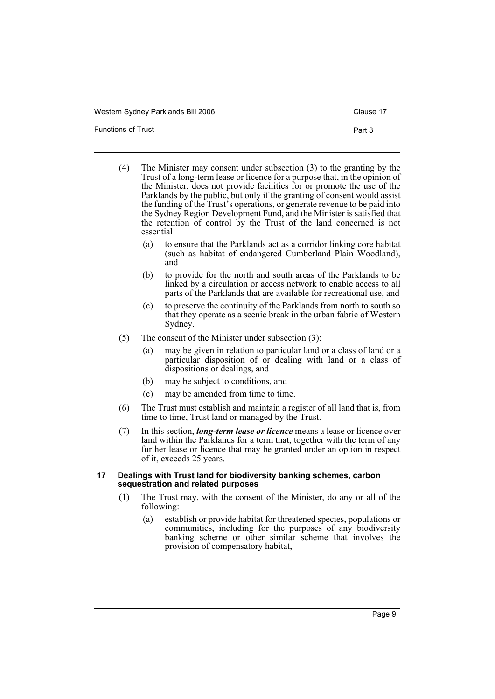Western Sydney Parklands Bill 2006 Clause 17

Functions of Trust **Part 3** 

- (4) The Minister may consent under subsection (3) to the granting by the Trust of a long-term lease or licence for a purpose that, in the opinion of the Minister, does not provide facilities for or promote the use of the Parklands by the public, but only if the granting of consent would assist the funding of the Trust's operations, or generate revenue to be paid into the Sydney Region Development Fund, and the Minister is satisfied that the retention of control by the Trust of the land concerned is not essential:
	- (a) to ensure that the Parklands act as a corridor linking core habitat (such as habitat of endangered Cumberland Plain Woodland), and
	- (b) to provide for the north and south areas of the Parklands to be linked by a circulation or access network to enable access to all parts of the Parklands that are available for recreational use, and
	- (c) to preserve the continuity of the Parklands from north to south so that they operate as a scenic break in the urban fabric of Western Sydney.
- (5) The consent of the Minister under subsection (3):
	- (a) may be given in relation to particular land or a class of land or a particular disposition of or dealing with land or a class of dispositions or dealings, and
	- (b) may be subject to conditions, and
	- (c) may be amended from time to time.
- (6) The Trust must establish and maintain a register of all land that is, from time to time, Trust land or managed by the Trust.
- (7) In this section, *long-term lease or licence* means a lease or licence over land within the Parklands for a term that, together with the term of any further lease or licence that may be granted under an option in respect of it, exceeds 25 years.

#### **17 Dealings with Trust land for biodiversity banking schemes, carbon sequestration and related purposes**

- (1) The Trust may, with the consent of the Minister, do any or all of the following:
	- (a) establish or provide habitat for threatened species, populations or communities, including for the purposes of any biodiversity banking scheme or other similar scheme that involves the provision of compensatory habitat,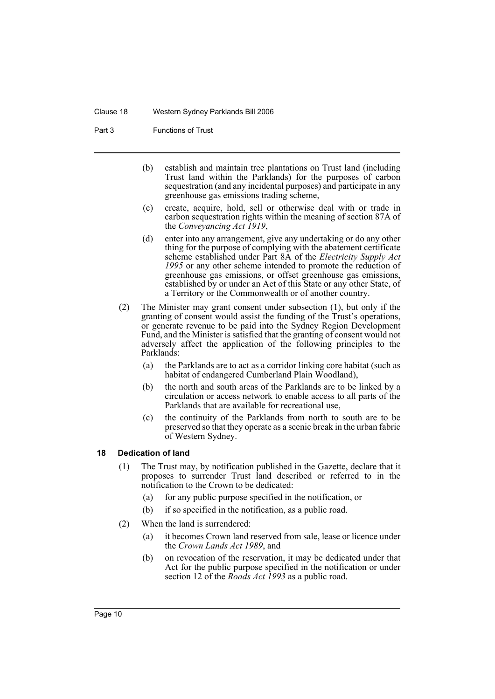#### Clause 18 Western Sydney Parklands Bill 2006

Part 3 Functions of Trust

- (b) establish and maintain tree plantations on Trust land (including Trust land within the Parklands) for the purposes of carbon sequestration (and any incidental purposes) and participate in any greenhouse gas emissions trading scheme,
- (c) create, acquire, hold, sell or otherwise deal with or trade in carbon sequestration rights within the meaning of section 87A of the *Conveyancing Act 1919*,
- (d) enter into any arrangement, give any undertaking or do any other thing for the purpose of complying with the abatement certificate scheme established under Part 8A of the *Electricity Supply Act 1995* or any other scheme intended to promote the reduction of greenhouse gas emissions, or offset greenhouse gas emissions, established by or under an Act of this State or any other State, of a Territory or the Commonwealth or of another country.
- (2) The Minister may grant consent under subsection (1), but only if the granting of consent would assist the funding of the Trust's operations, or generate revenue to be paid into the Sydney Region Development Fund, and the Minister is satisfied that the granting of consent would not adversely affect the application of the following principles to the Parklands:
	- (a) the Parklands are to act as a corridor linking core habitat (such as habitat of endangered Cumberland Plain Woodland),
	- (b) the north and south areas of the Parklands are to be linked by a circulation or access network to enable access to all parts of the Parklands that are available for recreational use,
	- (c) the continuity of the Parklands from north to south are to be preserved so that they operate as a scenic break in the urban fabric of Western Sydney.

#### **18 Dedication of land**

- (1) The Trust may, by notification published in the Gazette, declare that it proposes to surrender Trust land described or referred to in the notification to the Crown to be dedicated:
	- (a) for any public purpose specified in the notification, or
	- (b) if so specified in the notification, as a public road.
- (2) When the land is surrendered:
	- (a) it becomes Crown land reserved from sale, lease or licence under the *Crown Lands Act 1989*, and
	- (b) on revocation of the reservation, it may be dedicated under that Act for the public purpose specified in the notification or under section 12 of the *Roads Act 1993* as a public road.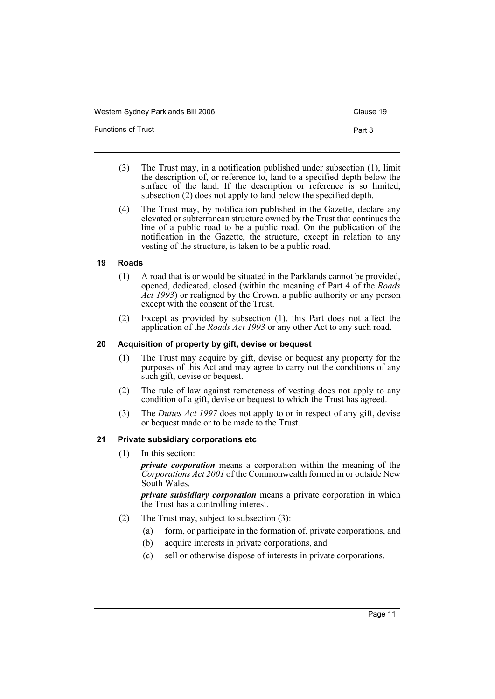| Western Sydney Parklands Bill 2006 | Clause 19 |
|------------------------------------|-----------|
| <b>Functions of Trust</b>          | Part 3    |

- (3) The Trust may, in a notification published under subsection (1), limit the description of, or reference to, land to a specified depth below the surface of the land. If the description or reference is so limited, subsection (2) does not apply to land below the specified depth.
- (4) The Trust may, by notification published in the Gazette, declare any elevated or subterranean structure owned by the Trust that continues the line of a public road to be a public road. On the publication of the notification in the Gazette, the structure, except in relation to any vesting of the structure, is taken to be a public road.

# **19 Roads**

- (1) A road that is or would be situated in the Parklands cannot be provided, opened, dedicated, closed (within the meaning of Part 4 of the *Roads Act 1993*) or realigned by the Crown, a public authority or any person except with the consent of the Trust.
- (2) Except as provided by subsection (1), this Part does not affect the application of the *Roads Act 1993* or any other Act to any such road.

# **20 Acquisition of property by gift, devise or bequest**

- (1) The Trust may acquire by gift, devise or bequest any property for the purposes of this Act and may agree to carry out the conditions of any such gift, devise or bequest.
- (2) The rule of law against remoteness of vesting does not apply to any condition of a gift, devise or bequest to which the Trust has agreed.
- (3) The *Duties Act 1997* does not apply to or in respect of any gift, devise or bequest made or to be made to the Trust.

# **21 Private subsidiary corporations etc**

(1) In this section:

*private corporation* means a corporation within the meaning of the *Corporations Act 2001* of the Commonwealth formed in or outside New South Wales.

*private subsidiary corporation* means a private corporation in which the Trust has a controlling interest.

- (2) The Trust may, subject to subsection (3):
	- (a) form, or participate in the formation of, private corporations, and
	- (b) acquire interests in private corporations, and
	- (c) sell or otherwise dispose of interests in private corporations.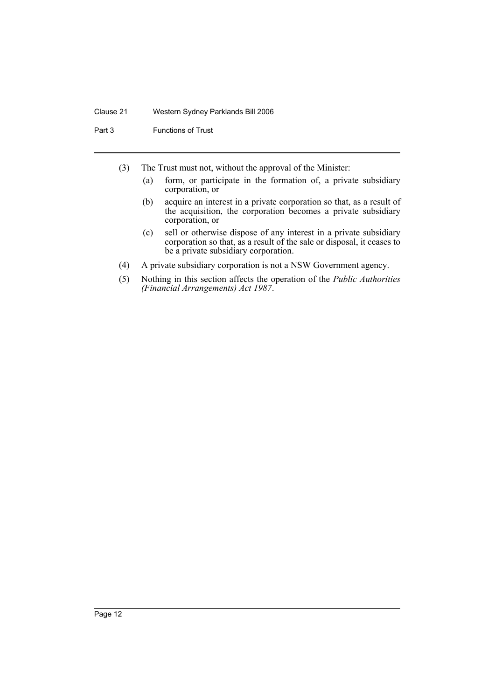#### Clause 21 Western Sydney Parklands Bill 2006

Part 3 Functions of Trust

- (3) The Trust must not, without the approval of the Minister:
	- (a) form, or participate in the formation of, a private subsidiary corporation, or
	- (b) acquire an interest in a private corporation so that, as a result of the acquisition, the corporation becomes a private subsidiary corporation, or
	- (c) sell or otherwise dispose of any interest in a private subsidiary corporation so that, as a result of the sale or disposal, it ceases to be a private subsidiary corporation.
- (4) A private subsidiary corporation is not a NSW Government agency.
- (5) Nothing in this section affects the operation of the *Public Authorities (Financial Arrangements) Act 1987*.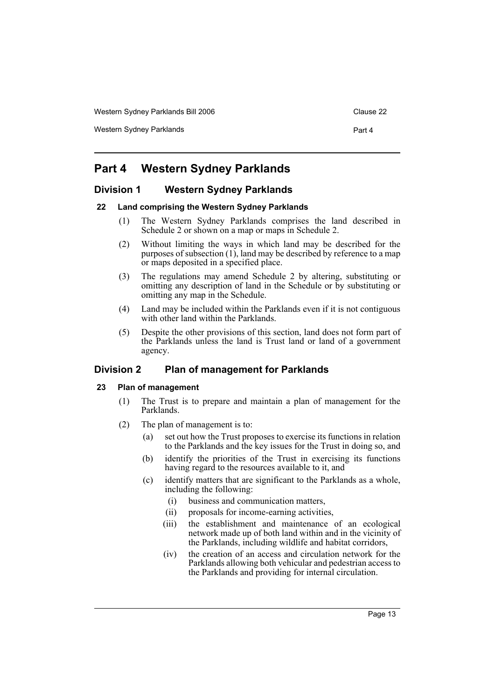Western Sydney Parklands Bill 2006 Clause 22

Western Sydney Parklands **Part 4** 

# **Part 4 Western Sydney Parklands**

# **Division 1 Western Sydney Parklands**

## **22 Land comprising the Western Sydney Parklands**

- (1) The Western Sydney Parklands comprises the land described in Schedule 2 or shown on a map or maps in Schedule 2.
- (2) Without limiting the ways in which land may be described for the purposes of subsection (1), land may be described by reference to a map or maps deposited in a specified place.
- (3) The regulations may amend Schedule 2 by altering, substituting or omitting any description of land in the Schedule or by substituting or omitting any map in the Schedule.
- (4) Land may be included within the Parklands even if it is not contiguous with other land within the Parklands.
- (5) Despite the other provisions of this section, land does not form part of the Parklands unless the land is Trust land or land of a government agency.

# **Division 2 Plan of management for Parklands**

#### **23 Plan of management**

- (1) The Trust is to prepare and maintain a plan of management for the Parklands.
- (2) The plan of management is to:
	- (a) set out how the Trust proposes to exercise its functions in relation to the Parklands and the key issues for the Trust in doing so, and
	- (b) identify the priorities of the Trust in exercising its functions having regard to the resources available to it, and
	- (c) identify matters that are significant to the Parklands as a whole, including the following:
		- (i) business and communication matters,
		- (ii) proposals for income-earning activities,
		- (iii) the establishment and maintenance of an ecological network made up of both land within and in the vicinity of the Parklands, including wildlife and habitat corridors,
		- (iv) the creation of an access and circulation network for the Parklands allowing both vehicular and pedestrian access to the Parklands and providing for internal circulation.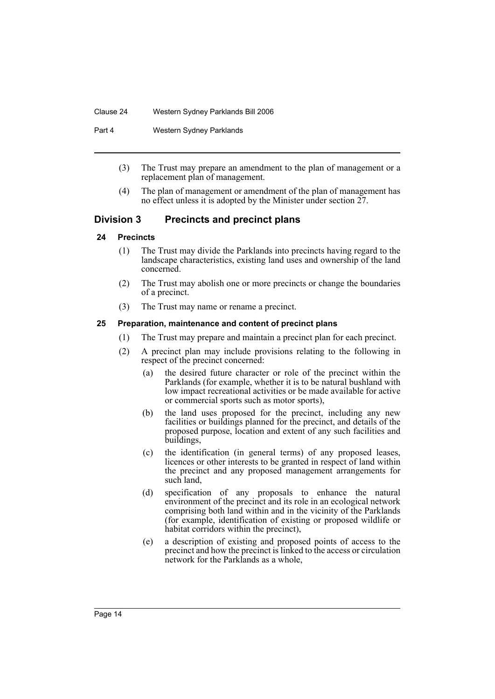#### Clause 24 Western Sydney Parklands Bill 2006

#### Part 4 Western Sydney Parklands

- (3) The Trust may prepare an amendment to the plan of management or a replacement plan of management.
- (4) The plan of management or amendment of the plan of management has no effect unless it is adopted by the Minister under section  $27$ .

# **Division 3 Precincts and precinct plans**

## **24 Precincts**

- (1) The Trust may divide the Parklands into precincts having regard to the landscape characteristics, existing land uses and ownership of the land concerned.
- (2) The Trust may abolish one or more precincts or change the boundaries of a precinct.
- (3) The Trust may name or rename a precinct.

## **25 Preparation, maintenance and content of precinct plans**

- (1) The Trust may prepare and maintain a precinct plan for each precinct.
- (2) A precinct plan may include provisions relating to the following in respect of the precinct concerned:
	- (a) the desired future character or role of the precinct within the Parklands (for example, whether it is to be natural bushland with low impact recreational activities or be made available for active or commercial sports such as motor sports),
	- (b) the land uses proposed for the precinct, including any new facilities or buildings planned for the precinct, and details of the proposed purpose, location and extent of any such facilities and buildings,
	- (c) the identification (in general terms) of any proposed leases, licences or other interests to be granted in respect of land within the precinct and any proposed management arrangements for such land,
	- (d) specification of any proposals to enhance the natural environment of the precinct and its role in an ecological network comprising both land within and in the vicinity of the Parklands (for example, identification of existing or proposed wildlife or habitat corridors within the precinct),
	- (e) a description of existing and proposed points of access to the precinct and how the precinct is linked to the access or circulation network for the Parklands as a whole,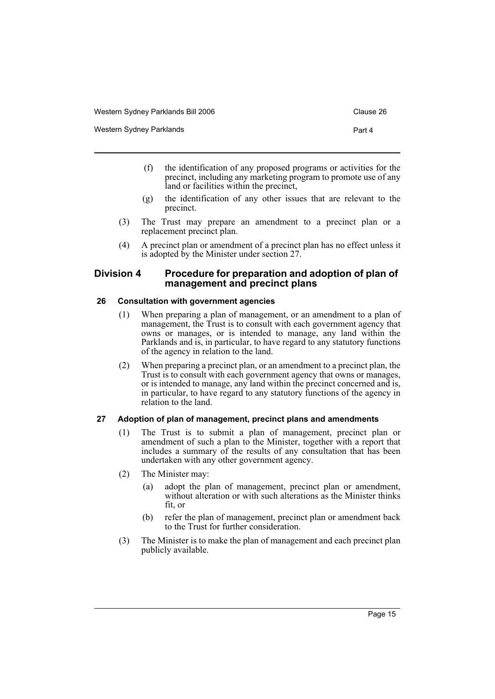Western Sydney Parklands **Part 4** and 2008 and 2008 and 2008 and 2008 and 2008 and 2008 and 2008 and 2008 and 2008 and 2008 and 2008 and 2008 and 2008 and 2008 and 2008 and 2008 and 2008 and 2008 and 2008 and 2008 and 2008

- 
- (f) the identification of any proposed programs or activities for the precinct, including any marketing program to promote use of any land or facilities within the precinct,
- (g) the identification of any other issues that are relevant to the precinct.
- (3) The Trust may prepare an amendment to a precinct plan or a replacement precinct plan.
- (4) A precinct plan or amendment of a precinct plan has no effect unless it is adopted by the Minister under section 27.

# **Division 4 Procedure for preparation and adoption of plan of management and precinct plans**

#### **26 Consultation with government agencies**

- (1) When preparing a plan of management, or an amendment to a plan of management, the Trust is to consult with each government agency that owns or manages, or is intended to manage, any land within the Parklands and is, in particular, to have regard to any statutory functions of the agency in relation to the land.
- (2) When preparing a precinct plan, or an amendment to a precinct plan, the Trust is to consult with each government agency that owns or manages, or is intended to manage, any land within the precinct concerned and is, in particular, to have regard to any statutory functions of the agency in relation to the land.

# **27 Adoption of plan of management, precinct plans and amendments**

- (1) The Trust is to submit a plan of management, precinct plan or amendment of such a plan to the Minister, together with a report that includes a summary of the results of any consultation that has been undertaken with any other government agency.
- (2) The Minister may:
	- (a) adopt the plan of management, precinct plan or amendment, without alteration or with such alterations as the Minister thinks fit, or
	- (b) refer the plan of management, precinct plan or amendment back to the Trust for further consideration.
- (3) The Minister is to make the plan of management and each precinct plan publicly available.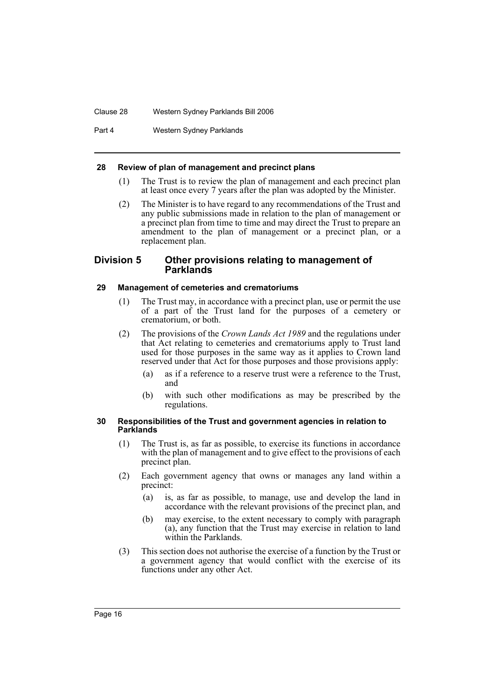#### Clause 28 Western Sydney Parklands Bill 2006

Part 4 Western Sydney Parklands

#### **28 Review of plan of management and precinct plans**

- (1) The Trust is to review the plan of management and each precinct plan at least once every 7 years after the plan was adopted by the Minister.
- (2) The Minister is to have regard to any recommendations of the Trust and any public submissions made in relation to the plan of management or a precinct plan from time to time and may direct the Trust to prepare an amendment to the plan of management or a precinct plan, or a replacement plan.

# **Division 5 Other provisions relating to management of Parklands**

# **29 Management of cemeteries and crematoriums**

- (1) The Trust may, in accordance with a precinct plan, use or permit the use of a part of the Trust land for the purposes of a cemetery or crematorium, or both.
- (2) The provisions of the *Crown Lands Act 1989* and the regulations under that Act relating to cemeteries and crematoriums apply to Trust land used for those purposes in the same way as it applies to Crown land reserved under that Act for those purposes and those provisions apply:
	- (a) as if a reference to a reserve trust were a reference to the Trust, and
	- (b) with such other modifications as may be prescribed by the regulations.

#### **30 Responsibilities of the Trust and government agencies in relation to Parklands**

- (1) The Trust is, as far as possible, to exercise its functions in accordance with the plan of management and to give effect to the provisions of each precinct plan.
- (2) Each government agency that owns or manages any land within a precinct:
	- (a) is, as far as possible, to manage, use and develop the land in accordance with the relevant provisions of the precinct plan, and
	- (b) may exercise, to the extent necessary to comply with paragraph (a), any function that the Trust may exercise in relation to land within the Parklands.
- (3) This section does not authorise the exercise of a function by the Trust or a government agency that would conflict with the exercise of its functions under any other Act.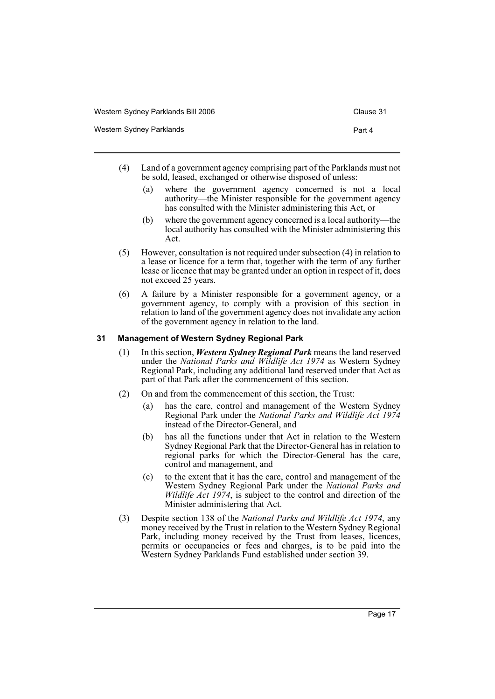| Western Sydney Parklands Bill 2006 | Clause 31 |
|------------------------------------|-----------|
| Western Sydney Parklands           | Part 4    |

- (4) Land of a government agency comprising part of the Parklands must not be sold, leased, exchanged or otherwise disposed of unless:
	- (a) where the government agency concerned is not a local authority—the Minister responsible for the government agency has consulted with the Minister administering this Act, or
	- (b) where the government agency concerned is a local authority—the local authority has consulted with the Minister administering this Act.
- (5) However, consultation is not required under subsection (4) in relation to a lease or licence for a term that, together with the term of any further lease or licence that may be granted under an option in respect of it, does not exceed 25 years.
- (6) A failure by a Minister responsible for a government agency, or a government agency, to comply with a provision of this section in relation to land of the government agency does not invalidate any action of the government agency in relation to the land.

# **31 Management of Western Sydney Regional Park**

- (1) In this section, *Western Sydney Regional Park* means the land reserved under the *National Parks and Wildlife Act 1974* as Western Sydney Regional Park, including any additional land reserved under that Act as part of that Park after the commencement of this section.
- (2) On and from the commencement of this section, the Trust:
	- (a) has the care, control and management of the Western Sydney Regional Park under the *National Parks and Wildlife Act 1974* instead of the Director-General, and
	- (b) has all the functions under that Act in relation to the Western Sydney Regional Park that the Director-General has in relation to regional parks for which the Director-General has the care, control and management, and
	- (c) to the extent that it has the care, control and management of the Western Sydney Regional Park under the *National Parks and Wildlife Act 1974*, is subject to the control and direction of the Minister administering that Act.
- (3) Despite section 138 of the *National Parks and Wildlife Act 1974*, any money received by the Trust in relation to the Western Sydney Regional Park, including money received by the Trust from leases, licences, permits or occupancies or fees and charges, is to be paid into the Western Sydney Parklands Fund established under section 39.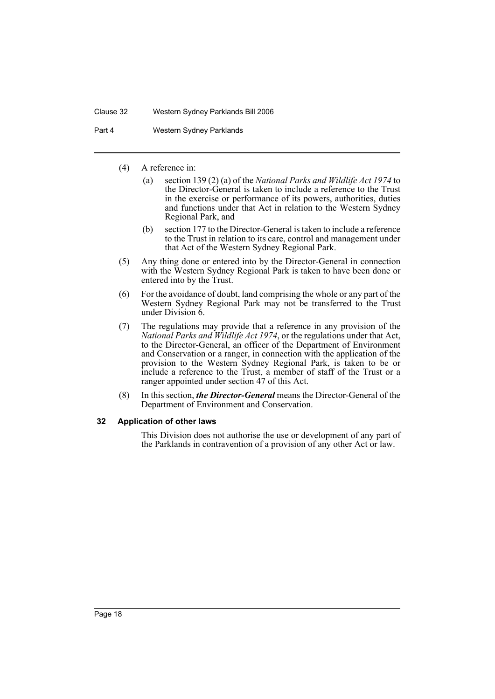#### Clause 32 Western Sydney Parklands Bill 2006

Part 4 Western Sydney Parklands

- (4) A reference in:
	- (a) section 139 (2) (a) of the *National Parks and Wildlife Act 1974* to the Director-General is taken to include a reference to the Trust in the exercise or performance of its powers, authorities, duties and functions under that Act in relation to the Western Sydney Regional Park, and
	- (b) section 177 to the Director-General is taken to include a reference to the Trust in relation to its care, control and management under that Act of the Western Sydney Regional Park.
- (5) Any thing done or entered into by the Director-General in connection with the Western Sydney Regional Park is taken to have been done or entered into by the Trust.
- (6) For the avoidance of doubt, land comprising the whole or any part of the Western Sydney Regional Park may not be transferred to the Trust under Division 6.
- (7) The regulations may provide that a reference in any provision of the *National Parks and Wildlife Act 1974*, or the regulations under that Act, to the Director-General, an officer of the Department of Environment and Conservation or a ranger, in connection with the application of the provision to the Western Sydney Regional Park, is taken to be or include a reference to the Trust, a member of staff of the Trust or a ranger appointed under section 47 of this Act.
- (8) In this section, *the Director-General* means the Director-General of the Department of Environment and Conservation.

#### **32 Application of other laws**

This Division does not authorise the use or development of any part of the Parklands in contravention of a provision of any other Act or law.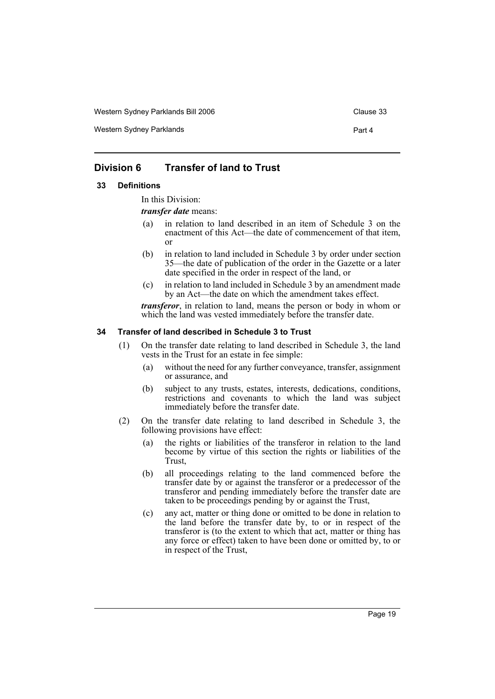Western Sydney Parklands Bill 2006 Clause 33

Western Sydney Parklands **Part 4** 

# **Division 6 Transfer of land to Trust**

#### **33 Definitions**

In this Division:

*transfer date* means:

- (a) in relation to land described in an item of Schedule 3 on the enactment of this Act—the date of commencement of that item, or
- (b) in relation to land included in Schedule 3 by order under section 35—the date of publication of the order in the Gazette or a later date specified in the order in respect of the land, or
- (c) in relation to land included in Schedule 3 by an amendment made by an Act—the date on which the amendment takes effect.

*transferor*, in relation to land, means the person or body in whom or which the land was vested immediately before the transfer date.

## **34 Transfer of land described in Schedule 3 to Trust**

- (1) On the transfer date relating to land described in Schedule 3, the land vests in the Trust for an estate in fee simple:
	- (a) without the need for any further conveyance, transfer, assignment or assurance, and
	- (b) subject to any trusts, estates, interests, dedications, conditions, restrictions and covenants to which the land was subject immediately before the transfer date.
- (2) On the transfer date relating to land described in Schedule 3, the following provisions have effect:
	- (a) the rights or liabilities of the transferor in relation to the land become by virtue of this section the rights or liabilities of the Trust,
	- (b) all proceedings relating to the land commenced before the transfer date by or against the transferor or a predecessor of the transferor and pending immediately before the transfer date are taken to be proceedings pending by or against the Trust,
	- (c) any act, matter or thing done or omitted to be done in relation to the land before the transfer date by, to or in respect of the transferor is (to the extent to which that act, matter or thing has any force or effect) taken to have been done or omitted by, to or in respect of the Trust,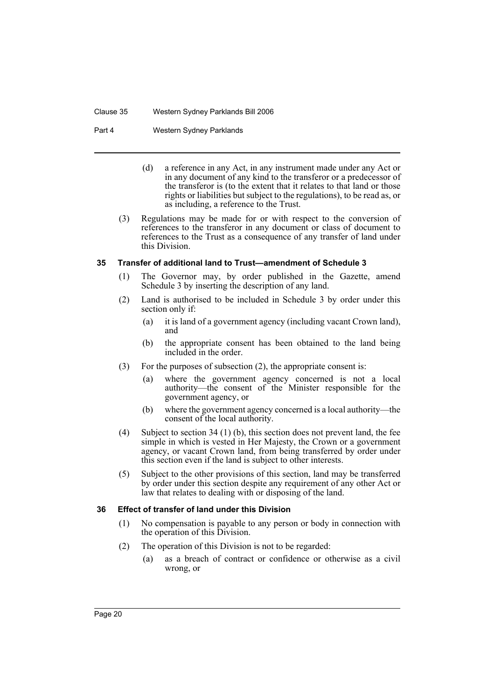#### Clause 35 Western Sydney Parklands Bill 2006

Part 4 Western Sydney Parklands

- (d) a reference in any Act, in any instrument made under any Act or in any document of any kind to the transferor or a predecessor of the transferor is (to the extent that it relates to that land or those rights or liabilities but subject to the regulations), to be read as, or as including, a reference to the Trust.
- (3) Regulations may be made for or with respect to the conversion of references to the transferor in any document or class of document to references to the Trust as a consequence of any transfer of land under this Division.

## **35 Transfer of additional land to Trust—amendment of Schedule 3**

- (1) The Governor may, by order published in the Gazette, amend Schedule 3 by inserting the description of any land.
- (2) Land is authorised to be included in Schedule 3 by order under this section only if:
	- (a) it is land of a government agency (including vacant Crown land), and
	- (b) the appropriate consent has been obtained to the land being included in the order.
- (3) For the purposes of subsection (2), the appropriate consent is:
	- (a) where the government agency concerned is not a local authority—the consent of the Minister responsible for the government agency, or
	- (b) where the government agency concerned is a local authority—the consent of the local authority.
- (4) Subject to section 34 (1) (b), this section does not prevent land, the fee simple in which is vested in Her Majesty, the Crown or a government agency, or vacant Crown land, from being transferred by order under this section even if the land is subject to other interests.
- (5) Subject to the other provisions of this section, land may be transferred by order under this section despite any requirement of any other Act or law that relates to dealing with or disposing of the land.

# **36 Effect of transfer of land under this Division**

- (1) No compensation is payable to any person or body in connection with the operation of this Division.
- (2) The operation of this Division is not to be regarded:
	- (a) as a breach of contract or confidence or otherwise as a civil wrong, or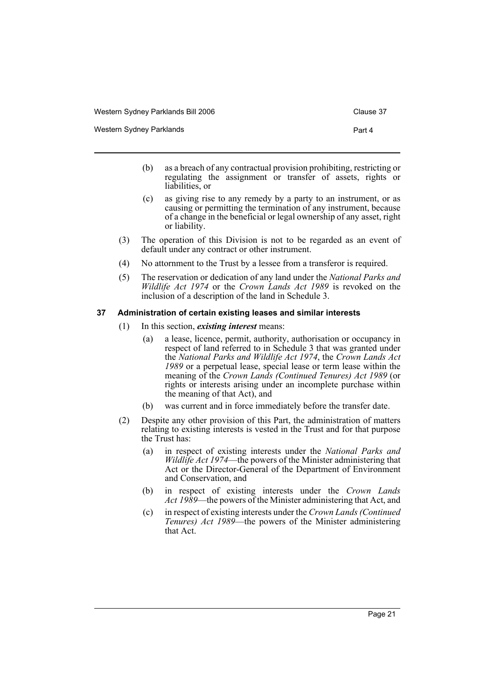Western Sydney Parklands **Part 4** and 2008 and 2008 and 2008 and 2008 and 2008 and 2008 and 2008 and 2008 and 2008 and 2008 and 2008 and 2008 and 2008 and 2008 and 2008 and 2008 and 2008 and 2008 and 2008 and 2008 and 2008

- (b) as a breach of any contractual provision prohibiting, restricting or regulating the assignment or transfer of assets, rights or liabilities, or
- (c) as giving rise to any remedy by a party to an instrument, or as causing or permitting the termination of any instrument, because of a change in the beneficial or legal ownership of any asset, right or liability.
- (3) The operation of this Division is not to be regarded as an event of default under any contract or other instrument.
- (4) No attornment to the Trust by a lessee from a transferor is required.
- (5) The reservation or dedication of any land under the *National Parks and Wildlife Act 1974* or the *Crown Lands Act 1989* is revoked on the inclusion of a description of the land in Schedule 3.

## **37 Administration of certain existing leases and similar interests**

- (1) In this section, *existing interest* means:
	- (a) a lease, licence, permit, authority, authorisation or occupancy in respect of land referred to in Schedule 3 that was granted under the *National Parks and Wildlife Act 1974*, the *Crown Lands Act 1989* or a perpetual lease, special lease or term lease within the meaning of the *Crown Lands (Continued Tenures) Act 1989* (or rights or interests arising under an incomplete purchase within the meaning of that Act), and
	- (b) was current and in force immediately before the transfer date.
- (2) Despite any other provision of this Part, the administration of matters relating to existing interests is vested in the Trust and for that purpose the Trust has:
	- (a) in respect of existing interests under the *National Parks and Wildlife Act 1974*—the powers of the Minister administering that Act or the Director-General of the Department of Environment and Conservation, and
	- (b) in respect of existing interests under the *Crown Lands Act 1989*—the powers of the Minister administering that Act, and
	- (c) in respect of existing interests under the *Crown Lands (Continued Tenures) Act 1989*—the powers of the Minister administering that Act.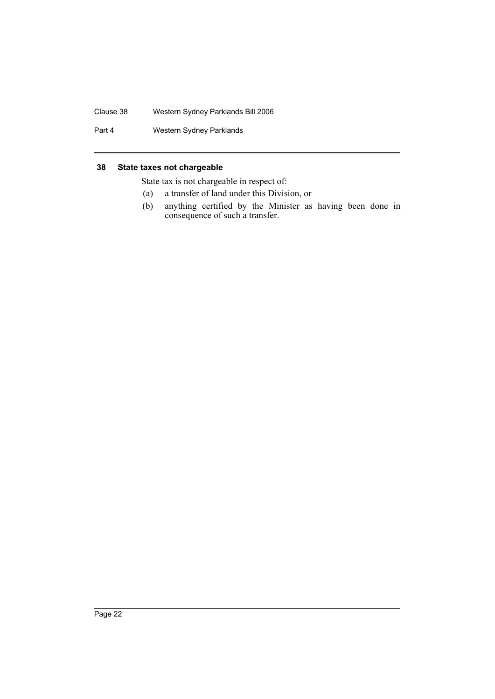## Clause 38 Western Sydney Parklands Bill 2006

Part 4 Western Sydney Parklands

## **38 State taxes not chargeable**

State tax is not chargeable in respect of:

- (a) a transfer of land under this Division, or
- (b) anything certified by the Minister as having been done in consequence of such a transfer.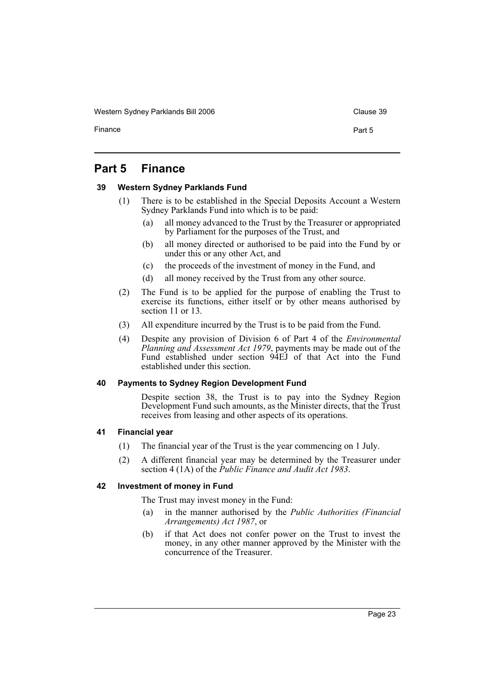Western Sydney Parklands Bill 2006 Clause 39

Finance **Part 5** 

# **Part 5 Finance**

# **39 Western Sydney Parklands Fund**

- (1) There is to be established in the Special Deposits Account a Western Sydney Parklands Fund into which is to be paid:
	- (a) all money advanced to the Trust by the Treasurer or appropriated by Parliament for the purposes of the Trust, and
	- (b) all money directed or authorised to be paid into the Fund by or under this or any other Act, and
	- (c) the proceeds of the investment of money in the Fund, and
	- (d) all money received by the Trust from any other source.
- (2) The Fund is to be applied for the purpose of enabling the Trust to exercise its functions, either itself or by other means authorised by section 11 or 13.
- (3) All expenditure incurred by the Trust is to be paid from the Fund.
- (4) Despite any provision of Division 6 of Part 4 of the *Environmental Planning and Assessment Act 1979*, payments may be made out of the Fund established under section 94EJ of that Act into the Fund established under this section.

#### **40 Payments to Sydney Region Development Fund**

Despite section 38, the Trust is to pay into the Sydney Region Development Fund such amounts, as the Minister directs, that the Trust receives from leasing and other aspects of its operations.

## **41 Financial year**

- (1) The financial year of the Trust is the year commencing on 1 July.
- (2) A different financial year may be determined by the Treasurer under section 4 (1A) of the *Public Finance and Audit Act 1983*.

# **42 Investment of money in Fund**

The Trust may invest money in the Fund:

- (a) in the manner authorised by the *Public Authorities (Financial Arrangements) Act 1987*, or
- (b) if that Act does not confer power on the Trust to invest the money, in any other manner approved by the Minister with the concurrence of the Treasurer.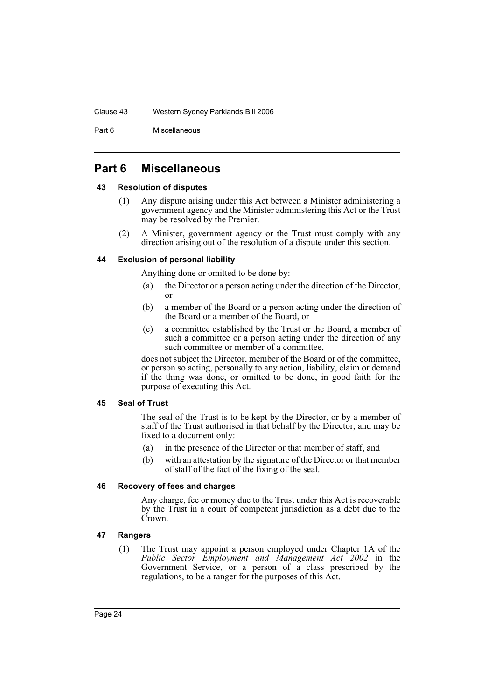#### Clause 43 Western Sydney Parklands Bill 2006

Part 6 Miscellaneous

# **Part 6 Miscellaneous**

## **43 Resolution of disputes**

- (1) Any dispute arising under this Act between a Minister administering a government agency and the Minister administering this Act or the Trust may be resolved by the Premier.
- (2) A Minister, government agency or the Trust must comply with any direction arising out of the resolution of a dispute under this section.

# **44 Exclusion of personal liability**

Anything done or omitted to be done by:

- (a) the Director or a person acting under the direction of the Director, or
- (b) a member of the Board or a person acting under the direction of the Board or a member of the Board, or
- (c) a committee established by the Trust or the Board, a member of such a committee or a person acting under the direction of any such committee or member of a committee,

does not subject the Director, member of the Board or of the committee, or person so acting, personally to any action, liability, claim or demand if the thing was done, or omitted to be done, in good faith for the purpose of executing this Act.

# **45 Seal of Trust**

The seal of the Trust is to be kept by the Director, or by a member of staff of the Trust authorised in that behalf by the Director, and may be fixed to a document only:

- (a) in the presence of the Director or that member of staff, and
- (b) with an attestation by the signature of the Director or that member of staff of the fact of the fixing of the seal.

# **46 Recovery of fees and charges**

Any charge, fee or money due to the Trust under this Act is recoverable by the Trust in a court of competent jurisdiction as a debt due to the Crown.

# **47 Rangers**

(1) The Trust may appoint a person employed under Chapter 1A of the *Public Sector Employment and Management Act 2002* in the Government Service, or a person of a class prescribed by the regulations, to be a ranger for the purposes of this Act.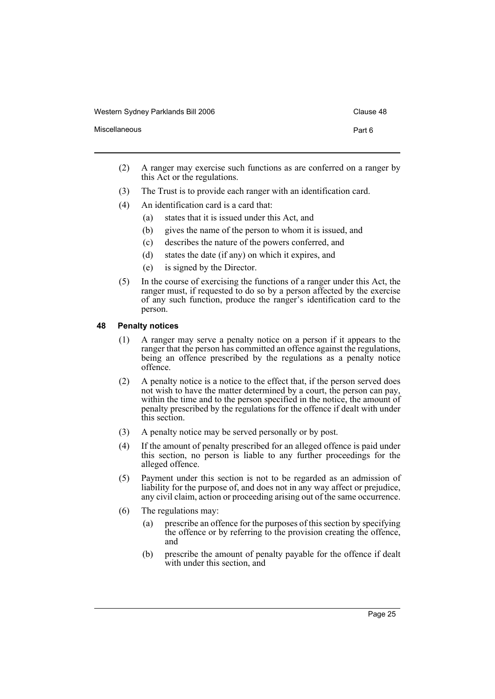| Western Sydney Parklands Bill 2006 | Clause 48 |
|------------------------------------|-----------|
| Miscellaneous                      | Part 6    |

- (2) A ranger may exercise such functions as are conferred on a ranger by this Act or the regulations.
- (3) The Trust is to provide each ranger with an identification card.
- (4) An identification card is a card that:
	- (a) states that it is issued under this Act, and
	- (b) gives the name of the person to whom it is issued, and
	- (c) describes the nature of the powers conferred, and
	- (d) states the date (if any) on which it expires, and
	- (e) is signed by the Director.
- (5) In the course of exercising the functions of a ranger under this Act, the ranger must, if requested to do so by a person affected by the exercise of any such function, produce the ranger's identification card to the person.

# **48 Penalty notices**

- (1) A ranger may serve a penalty notice on a person if it appears to the ranger that the person has committed an offence against the regulations, being an offence prescribed by the regulations as a penalty notice offence.
- (2) A penalty notice is a notice to the effect that, if the person served does not wish to have the matter determined by a court, the person can pay, within the time and to the person specified in the notice, the amount of penalty prescribed by the regulations for the offence if dealt with under this section.
- (3) A penalty notice may be served personally or by post.
- (4) If the amount of penalty prescribed for an alleged offence is paid under this section, no person is liable to any further proceedings for the alleged offence.
- (5) Payment under this section is not to be regarded as an admission of liability for the purpose of, and does not in any way affect or prejudice, any civil claim, action or proceeding arising out of the same occurrence.
- (6) The regulations may:
	- (a) prescribe an offence for the purposes of this section by specifying the offence or by referring to the provision creating the offence, and
	- (b) prescribe the amount of penalty payable for the offence if dealt with under this section, and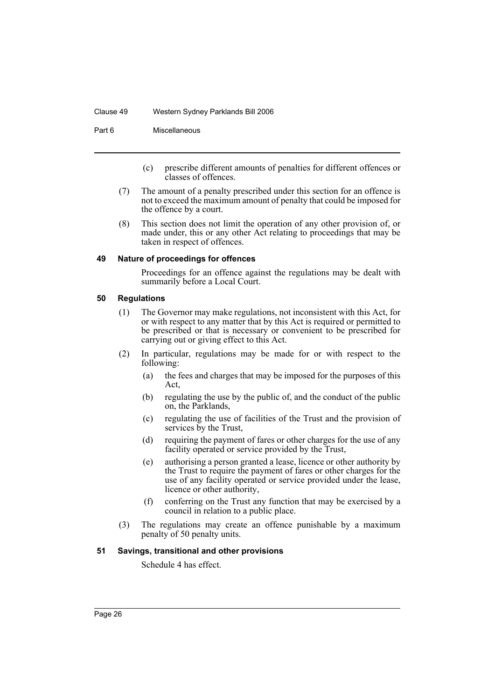#### Clause 49 Western Sydney Parklands Bill 2006

Part 6 Miscellaneous

- (c) prescribe different amounts of penalties for different offences or classes of offences.
- (7) The amount of a penalty prescribed under this section for an offence is not to exceed the maximum amount of penalty that could be imposed for the offence by a court.
- (8) This section does not limit the operation of any other provision of, or made under, this or any other Act relating to proceedings that may be taken in respect of offences.

#### **49 Nature of proceedings for offences**

Proceedings for an offence against the regulations may be dealt with summarily before a Local Court.

#### **50 Regulations**

- (1) The Governor may make regulations, not inconsistent with this Act, for or with respect to any matter that by this Act is required or permitted to be prescribed or that is necessary or convenient to be prescribed for carrying out or giving effect to this Act.
- (2) In particular, regulations may be made for or with respect to the following:
	- (a) the fees and charges that may be imposed for the purposes of this Act,
	- (b) regulating the use by the public of, and the conduct of the public on, the Parklands,
	- (c) regulating the use of facilities of the Trust and the provision of services by the Trust,
	- (d) requiring the payment of fares or other charges for the use of any facility operated or service provided by the Trust,
	- (e) authorising a person granted a lease, licence or other authority by the Trust to require the payment of fares or other charges for the use of any facility operated or service provided under the lease, licence or other authority,
	- (f) conferring on the Trust any function that may be exercised by a council in relation to a public place.
- (3) The regulations may create an offence punishable by a maximum penalty of 50 penalty units.

# **51 Savings, transitional and other provisions**

Schedule 4 has effect.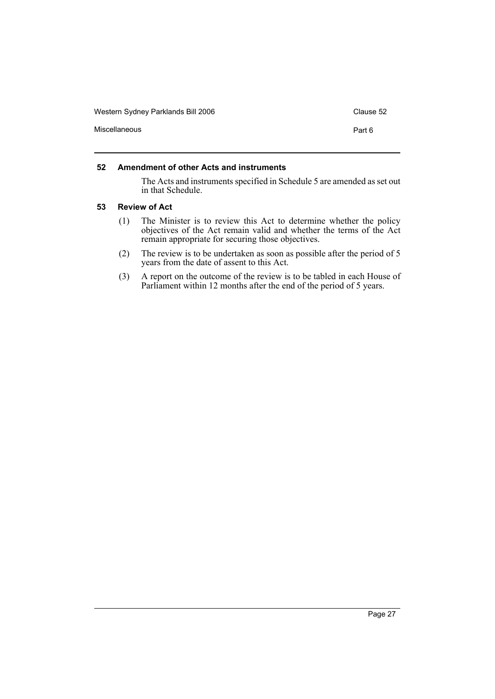| Western Sydney Parklands Bill 2006 | Clause 52 |
|------------------------------------|-----------|
| Miscellaneous                      | Part 6    |
|                                    |           |

# **52 Amendment of other Acts and instruments**

The Acts and instruments specified in Schedule 5 are amended as set out in that Schedule.

## **53 Review of Act**

- (1) The Minister is to review this Act to determine whether the policy objectives of the Act remain valid and whether the terms of the Act remain appropriate for securing those objectives.
- (2) The review is to be undertaken as soon as possible after the period of 5 years from the date of assent to this Act.
- (3) A report on the outcome of the review is to be tabled in each House of Parliament within 12 months after the end of the period of 5 years.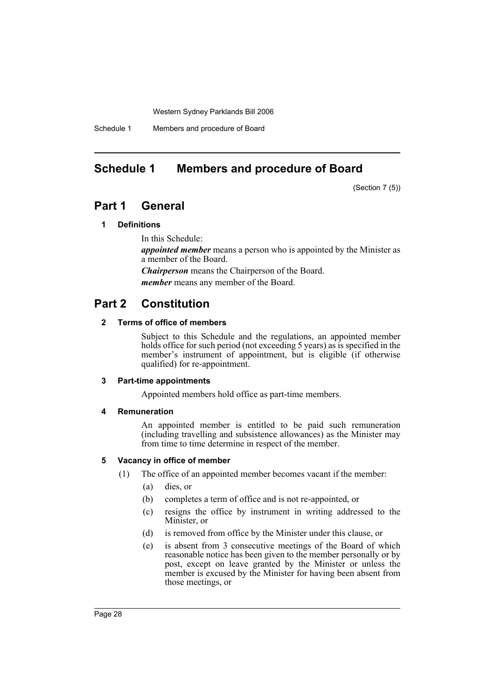Schedule 1 Members and procedure of Board

# **Schedule 1 Members and procedure of Board**

(Section 7 (5))

# **Part 1 General**

# **1 Definitions**

In this Schedule:

*appointed member* means a person who is appointed by the Minister as a member of the Board.

*Chairperson* means the Chairperson of the Board.

*member* means any member of the Board.

# **Part 2 Constitution**

## **2 Terms of office of members**

Subject to this Schedule and the regulations, an appointed member holds office for such period (not exceeding 5 years) as is specified in the member's instrument of appointment, but is eligible (if otherwise qualified) for re-appointment.

# **3 Part-time appointments**

Appointed members hold office as part-time members.

#### **4 Remuneration**

An appointed member is entitled to be paid such remuneration (including travelling and subsistence allowances) as the Minister may from time to time determine in respect of the member.

# **5 Vacancy in office of member**

- (1) The office of an appointed member becomes vacant if the member:
	- (a) dies, or
	- (b) completes a term of office and is not re-appointed, or
	- (c) resigns the office by instrument in writing addressed to the Minister, or
	- (d) is removed from office by the Minister under this clause, or
	- (e) is absent from 3 consecutive meetings of the Board of which reasonable notice has been given to the member personally or by post, except on leave granted by the Minister or unless the member is excused by the Minister for having been absent from those meetings, or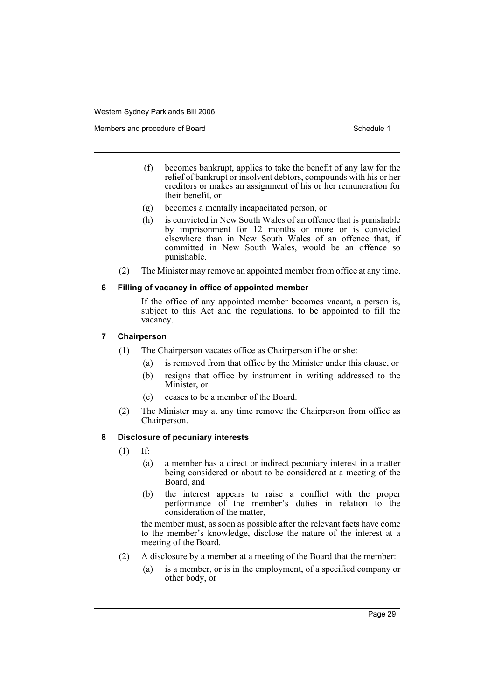Members and procedure of Board Schedule 1 and Schedule 1

- (f) becomes bankrupt, applies to take the benefit of any law for the relief of bankrupt or insolvent debtors, compounds with his or her creditors or makes an assignment of his or her remuneration for their benefit, or
- (g) becomes a mentally incapacitated person, or
- (h) is convicted in New South Wales of an offence that is punishable by imprisonment for 12 months or more or is convicted elsewhere than in New South Wales of an offence that, if committed in New South Wales, would be an offence so punishable.
- (2) The Minister may remove an appointed member from office at any time.

#### **6 Filling of vacancy in office of appointed member**

If the office of any appointed member becomes vacant, a person is, subject to this Act and the regulations, to be appointed to fill the vacancy.

#### **7 Chairperson**

- (1) The Chairperson vacates office as Chairperson if he or she:
	- (a) is removed from that office by the Minister under this clause, or
	- (b) resigns that office by instrument in writing addressed to the Minister, or
	- (c) ceases to be a member of the Board.
- (2) The Minister may at any time remove the Chairperson from office as Chairperson.

#### **8 Disclosure of pecuniary interests**

- (1) If:
	- (a) a member has a direct or indirect pecuniary interest in a matter being considered or about to be considered at a meeting of the Board, and
	- (b) the interest appears to raise a conflict with the proper performance of the member's duties in relation to the consideration of the matter,

the member must, as soon as possible after the relevant facts have come to the member's knowledge, disclose the nature of the interest at a meeting of the Board.

- (2) A disclosure by a member at a meeting of the Board that the member:
	- (a) is a member, or is in the employment, of a specified company or other body, or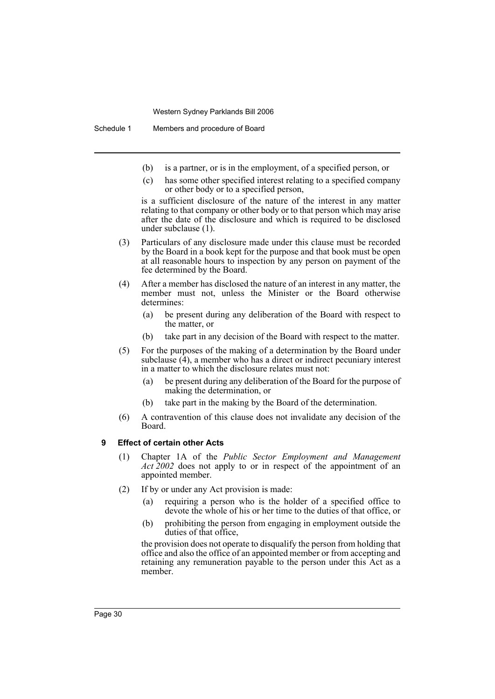Schedule 1 Members and procedure of Board

- (b) is a partner, or is in the employment, of a specified person, or
- (c) has some other specified interest relating to a specified company or other body or to a specified person,

is a sufficient disclosure of the nature of the interest in any matter relating to that company or other body or to that person which may arise after the date of the disclosure and which is required to be disclosed under subclause (1).

- (3) Particulars of any disclosure made under this clause must be recorded by the Board in a book kept for the purpose and that book must be open at all reasonable hours to inspection by any person on payment of the fee determined by the Board.
- (4) After a member has disclosed the nature of an interest in any matter, the member must not, unless the Minister or the Board otherwise determines:
	- (a) be present during any deliberation of the Board with respect to the matter, or
	- (b) take part in any decision of the Board with respect to the matter.
- (5) For the purposes of the making of a determination by the Board under subclause  $(4)$ , a member who has a direct or indirect pecuniary interest in a matter to which the disclosure relates must not:
	- (a) be present during any deliberation of the Board for the purpose of making the determination, or
	- (b) take part in the making by the Board of the determination.
- (6) A contravention of this clause does not invalidate any decision of the Board.

# **9 Effect of certain other Acts**

- (1) Chapter 1A of the *Public Sector Employment and Management Act 2002* does not apply to or in respect of the appointment of an appointed member.
- (2) If by or under any Act provision is made:
	- (a) requiring a person who is the holder of a specified office to devote the whole of his or her time to the duties of that office, or
	- (b) prohibiting the person from engaging in employment outside the duties of that office,

the provision does not operate to disqualify the person from holding that office and also the office of an appointed member or from accepting and retaining any remuneration payable to the person under this Act as a member.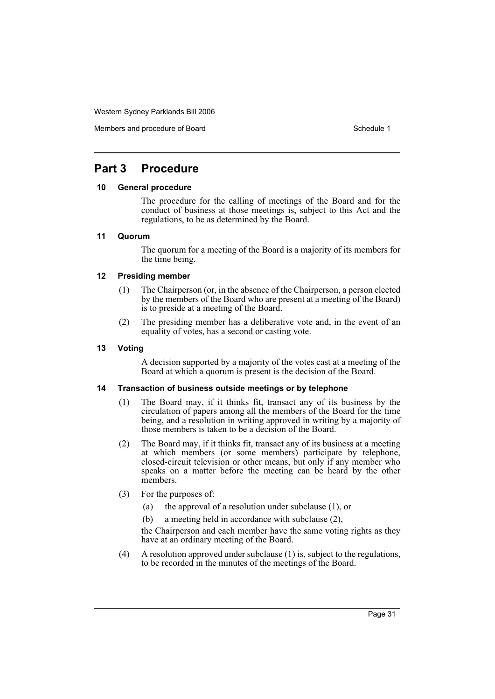Members and procedure of Board Schedule 1 and Schedule 1

# **Part 3 Procedure**

#### **10 General procedure**

The procedure for the calling of meetings of the Board and for the conduct of business at those meetings is, subject to this Act and the regulations, to be as determined by the Board.

#### **11 Quorum**

The quorum for a meeting of the Board is a majority of its members for the time being.

## **12 Presiding member**

- (1) The Chairperson (or, in the absence of the Chairperson, a person elected by the members of the Board who are present at a meeting of the Board) is to preside at a meeting of the Board.
- (2) The presiding member has a deliberative vote and, in the event of an equality of votes, has a second or casting vote.

# **13 Voting**

A decision supported by a majority of the votes cast at a meeting of the Board at which a quorum is present is the decision of the Board.

#### **14 Transaction of business outside meetings or by telephone**

- (1) The Board may, if it thinks fit, transact any of its business by the circulation of papers among all the members of the Board for the time being, and a resolution in writing approved in writing by a majority of those members is taken to be a decision of the Board.
- (2) The Board may, if it thinks fit, transact any of its business at a meeting at which members (or some members) participate by telephone, closed-circuit television or other means, but only if any member who speaks on a matter before the meeting can be heard by the other members.
- (3) For the purposes of:
	- (a) the approval of a resolution under subclause (1), or
	- (b) a meeting held in accordance with subclause (2),

the Chairperson and each member have the same voting rights as they have at an ordinary meeting of the Board.

(4) A resolution approved under subclause (1) is, subject to the regulations, to be recorded in the minutes of the meetings of the Board.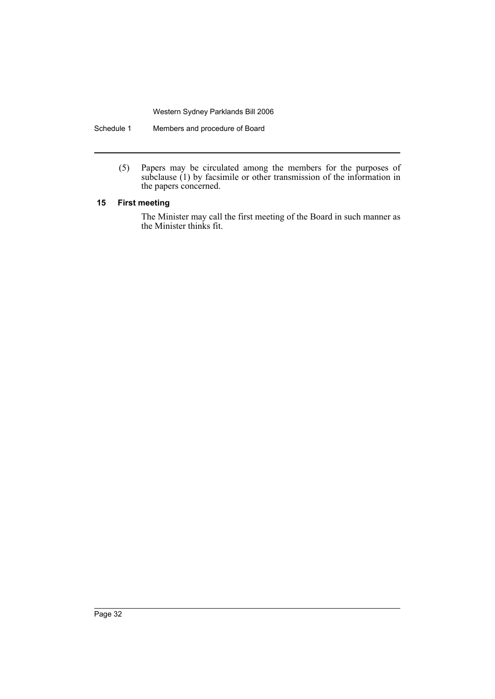Schedule 1 Members and procedure of Board

(5) Papers may be circulated among the members for the purposes of subclause (1) by facsimile or other transmission of the information in the papers concerned.

# **15 First meeting**

The Minister may call the first meeting of the Board in such manner as the Minister thinks fit.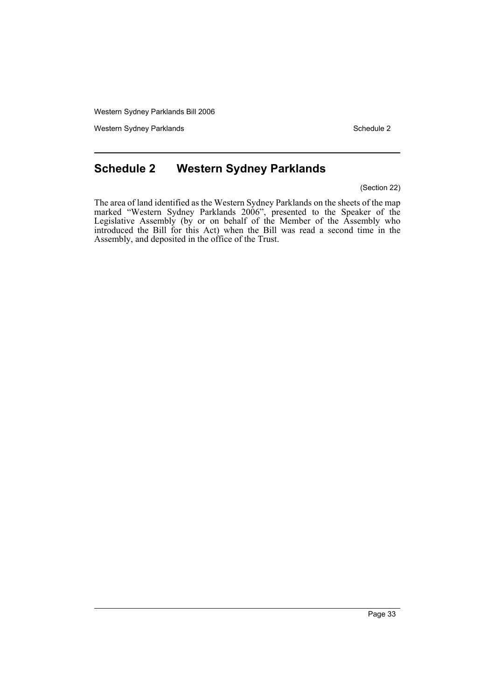Western Sydney Parklands **Schedule 2** Schedule 2

# **Schedule 2 Western Sydney Parklands**

(Section 22)

The area of land identified as the Western Sydney Parklands on the sheets of the map marked "Western Sydney Parklands 2006", presented to the Speaker of the Legislative Assembly (by or on behalf of the Member of the Assembly who introduced the Bill for this Act) when the Bill was read a second time in the Assembly, and deposited in the office of the Trust.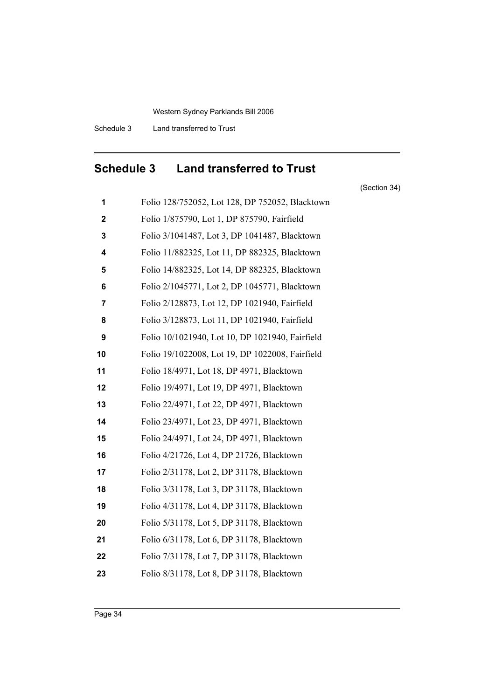Schedule 3 Land transferred to Trust

# **Schedule 3 Land transferred to Trust**

(Section 34)

 Folio 128/752052, Lot 128, DP 752052, Blacktown Folio 1/875790, Lot 1, DP 875790, Fairfield Folio 3/1041487, Lot 3, DP 1041487, Blacktown Folio 11/882325, Lot 11, DP 882325, Blacktown Folio 14/882325, Lot 14, DP 882325, Blacktown Folio 2/1045771, Lot 2, DP 1045771, Blacktown Folio 2/128873, Lot 12, DP 1021940, Fairfield Folio 3/128873, Lot 11, DP 1021940, Fairfield Folio 10/1021940, Lot 10, DP 1021940, Fairfield Folio 19/1022008, Lot 19, DP 1022008, Fairfield Folio 18/4971, Lot 18, DP 4971, Blacktown Folio 19/4971, Lot 19, DP 4971, Blacktown Folio 22/4971, Lot 22, DP 4971, Blacktown Folio 23/4971, Lot 23, DP 4971, Blacktown Folio 24/4971, Lot 24, DP 4971, Blacktown Folio 4/21726, Lot 4, DP 21726, Blacktown Folio 2/31178, Lot 2, DP 31178, Blacktown Folio 3/31178, Lot 3, DP 31178, Blacktown Folio 4/31178, Lot 4, DP 31178, Blacktown Folio 5/31178, Lot 5, DP 31178, Blacktown Folio 6/31178, Lot 6, DP 31178, Blacktown Folio 7/31178, Lot 7, DP 31178, Blacktown Folio 8/31178, Lot 8, DP 31178, Blacktown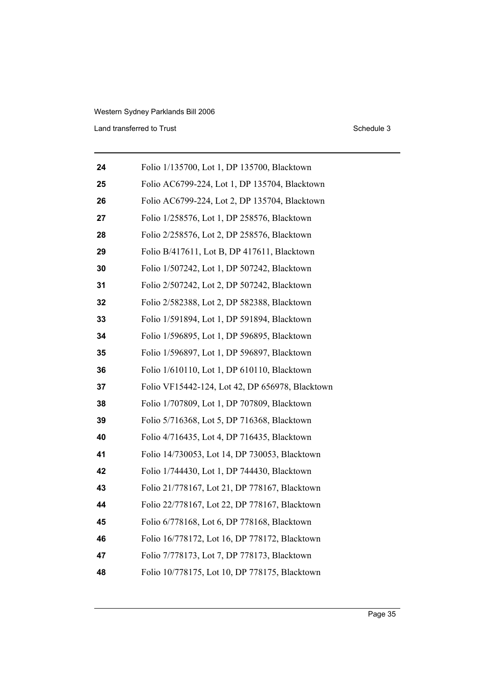Land transferred to Trust Schedule 3

| 24 | Folio 1/135700, Lot 1, DP 135700, Blacktown     |
|----|-------------------------------------------------|
| 25 | Folio AC6799-224, Lot 1, DP 135704, Blacktown   |
| 26 | Folio AC6799-224, Lot 2, DP 135704, Blacktown   |
| 27 | Folio 1/258576, Lot 1, DP 258576, Blacktown     |
| 28 | Folio 2/258576, Lot 2, DP 258576, Blacktown     |
| 29 | Folio B/417611, Lot B, DP 417611, Blacktown     |
| 30 | Folio 1/507242, Lot 1, DP 507242, Blacktown     |
| 31 | Folio 2/507242, Lot 2, DP 507242, Blacktown     |
| 32 | Folio 2/582388, Lot 2, DP 582388, Blacktown     |
| 33 | Folio 1/591894, Lot 1, DP 591894, Blacktown     |
| 34 | Folio 1/596895, Lot 1, DP 596895, Blacktown     |
| 35 | Folio 1/596897, Lot 1, DP 596897, Blacktown     |
| 36 | Folio 1/610110, Lot 1, DP 610110, Blacktown     |
| 37 | Folio VF15442-124, Lot 42, DP 656978, Blacktown |
| 38 | Folio 1/707809, Lot 1, DP 707809, Blacktown     |
| 39 | Folio 5/716368, Lot 5, DP 716368, Blacktown     |
| 40 | Folio 4/716435, Lot 4, DP 716435, Blacktown     |
| 41 | Folio 14/730053, Lot 14, DP 730053, Blacktown   |
| 42 | Folio 1/744430, Lot 1, DP 744430, Blacktown     |
| 43 | Folio 21/778167, Lot 21, DP 778167, Blacktown   |
| 44 | Folio 22/778167, Lot 22, DP 778167, Blacktown   |
| 45 | Folio 6/778168, Lot 6, DP 778168, Blacktown     |
| 46 | Folio 16/778172, Lot 16, DP 778172, Blacktown   |
| 47 | Folio 7/778173, Lot 7, DP 778173, Blacktown     |
| 48 | Folio 10/778175, Lot 10, DP 778175, Blacktown   |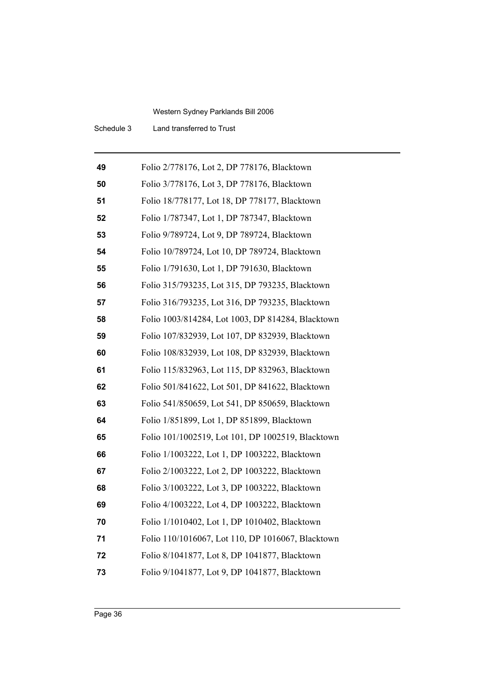Schedule 3 Land transferred to Trust

| 49 | Folio 2/778176, Lot 2, DP 778176, Blacktown       |
|----|---------------------------------------------------|
| 50 | Folio 3/778176, Lot 3, DP 778176, Blacktown       |
| 51 | Folio 18/778177, Lot 18, DP 778177, Blacktown     |
| 52 | Folio 1/787347, Lot 1, DP 787347, Blacktown       |
| 53 | Folio 9/789724, Lot 9, DP 789724, Blacktown       |
| 54 | Folio 10/789724, Lot 10, DP 789724, Blacktown     |
| 55 | Folio 1/791630, Lot 1, DP 791630, Blacktown       |
| 56 | Folio 315/793235, Lot 315, DP 793235, Blacktown   |
| 57 | Folio 316/793235, Lot 316, DP 793235, Blacktown   |
| 58 | Folio 1003/814284, Lot 1003, DP 814284, Blacktown |
| 59 | Folio 107/832939, Lot 107, DP 832939, Blacktown   |
| 60 | Folio 108/832939, Lot 108, DP 832939, Blacktown   |
| 61 | Folio 115/832963, Lot 115, DP 832963, Blacktown   |
| 62 | Folio 501/841622, Lot 501, DP 841622, Blacktown   |
| 63 | Folio 541/850659, Lot 541, DP 850659, Blacktown   |
| 64 | Folio 1/851899, Lot 1, DP 851899, Blacktown       |
| 65 | Folio 101/1002519, Lot 101, DP 1002519, Blacktown |
| 66 | Folio 1/1003222, Lot 1, DP 1003222, Blacktown     |
| 67 | Folio 2/1003222, Lot 2, DP 1003222, Blacktown     |
| 68 | Folio 3/1003222, Lot 3, DP 1003222, Blacktown     |
| 69 | Folio 4/1003222, Lot 4, DP 1003222, Blacktown     |
| 70 | Folio 1/1010402, Lot 1, DP 1010402, Blacktown     |
| 71 | Folio 110/1016067, Lot 110, DP 1016067, Blacktown |
| 72 | Folio 8/1041877, Lot 8, DP 1041877, Blacktown     |
| 73 | Folio 9/1041877, Lot 9, DP 1041877, Blacktown     |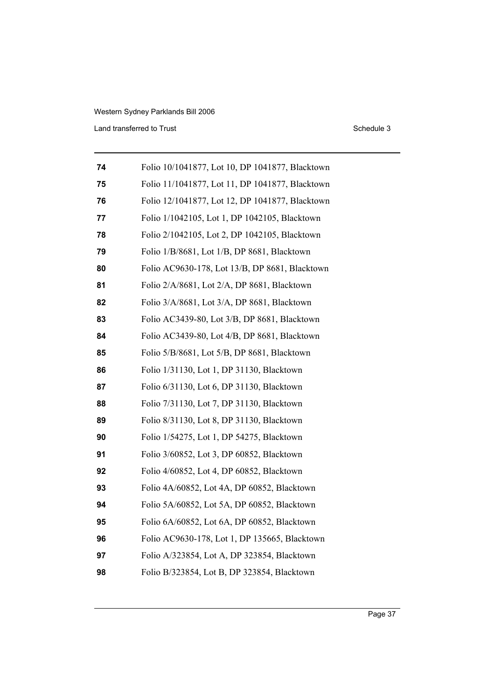Land transferred to Trust Schedule 3

| 74 | Folio 10/1041877, Lot 10, DP 1041877, Blacktown |
|----|-------------------------------------------------|
| 75 | Folio 11/1041877, Lot 11, DP 1041877, Blacktown |
| 76 | Folio 12/1041877, Lot 12, DP 1041877, Blacktown |
| 77 | Folio 1/1042105, Lot 1, DP 1042105, Blacktown   |
| 78 | Folio 2/1042105, Lot 2, DP 1042105, Blacktown   |
| 79 | Folio 1/B/8681, Lot 1/B, DP 8681, Blacktown     |
| 80 | Folio AC9630-178, Lot 13/B, DP 8681, Blacktown  |
| 81 | Folio 2/A/8681, Lot 2/A, DP 8681, Blacktown     |
| 82 | Folio 3/A/8681, Lot 3/A, DP 8681, Blacktown     |
| 83 | Folio AC3439-80, Lot 3/B, DP 8681, Blacktown    |
| 84 | Folio AC3439-80, Lot 4/B, DP 8681, Blacktown    |
| 85 | Folio 5/B/8681, Lot 5/B, DP 8681, Blacktown     |
| 86 | Folio 1/31130, Lot 1, DP 31130, Blacktown       |
| 87 | Folio 6/31130, Lot 6, DP 31130, Blacktown       |
| 88 | Folio 7/31130, Lot 7, DP 31130, Blacktown       |
| 89 | Folio 8/31130, Lot 8, DP 31130, Blacktown       |
| 90 | Folio 1/54275, Lot 1, DP 54275, Blacktown       |
| 91 | Folio 3/60852, Lot 3, DP 60852, Blacktown       |
| 92 | Folio 4/60852, Lot 4, DP 60852, Blacktown       |
| 93 | Folio 4A/60852, Lot 4A, DP 60852, Blacktown     |
| 94 | Folio 5A/60852, Lot 5A, DP 60852, Blacktown     |
| 95 | Folio 6A/60852, Lot 6A, DP 60852, Blacktown     |
| 96 | Folio AC9630-178, Lot 1, DP 135665, Blacktown   |
| 97 | Folio A/323854, Lot A, DP 323854, Blacktown     |
| 98 | Folio B/323854, Lot B, DP 323854, Blacktown     |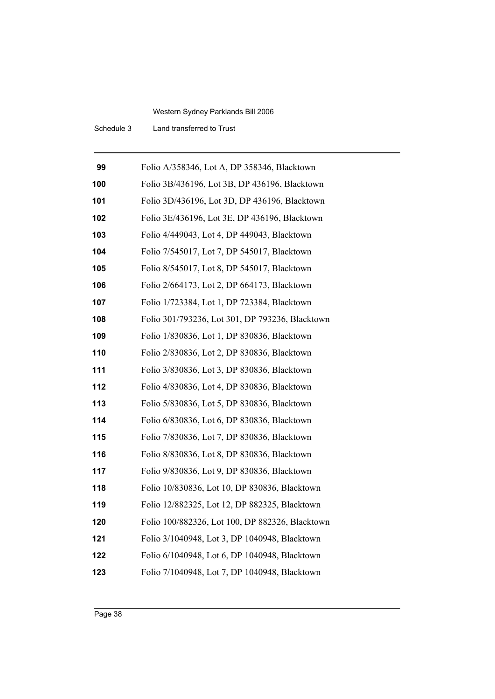Schedule 3 Land transferred to Trust

| 99  | Folio A/358346, Lot A, DP 358346, Blacktown     |
|-----|-------------------------------------------------|
| 100 | Folio 3B/436196, Lot 3B, DP 436196, Blacktown   |
| 101 | Folio 3D/436196, Lot 3D, DP 436196, Blacktown   |
| 102 | Folio 3E/436196, Lot 3E, DP 436196, Blacktown   |
| 103 | Folio 4/449043, Lot 4, DP 449043, Blacktown     |
| 104 | Folio 7/545017, Lot 7, DP 545017, Blacktown     |
| 105 | Folio 8/545017, Lot 8, DP 545017, Blacktown     |
| 106 | Folio 2/664173, Lot 2, DP 664173, Blacktown     |
| 107 | Folio 1/723384, Lot 1, DP 723384, Blacktown     |
| 108 | Folio 301/793236, Lot 301, DP 793236, Blacktown |
| 109 | Folio 1/830836, Lot 1, DP 830836, Blacktown     |
| 110 | Folio 2/830836, Lot 2, DP 830836, Blacktown     |
| 111 | Folio 3/830836, Lot 3, DP 830836, Blacktown     |
| 112 | Folio 4/830836, Lot 4, DP 830836, Blacktown     |
| 113 | Folio 5/830836, Lot 5, DP 830836, Blacktown     |
| 114 | Folio 6/830836, Lot 6, DP 830836, Blacktown     |
| 115 | Folio 7/830836, Lot 7, DP 830836, Blacktown     |
| 116 | Folio 8/830836, Lot 8, DP 830836, Blacktown     |
| 117 | Folio 9/830836, Lot 9, DP 830836, Blacktown     |
| 118 | Folio 10/830836, Lot 10, DP 830836, Blacktown   |
| 119 | Folio 12/882325, Lot 12, DP 882325, Blacktown   |
| 120 | Folio 100/882326, Lot 100, DP 882326, Blacktown |
| 121 | Folio 3/1040948, Lot 3, DP 1040948, Blacktown   |
| 122 | Folio 6/1040948, Lot 6, DP 1040948, Blacktown   |
| 123 | Folio 7/1040948, Lot 7, DP 1040948, Blacktown   |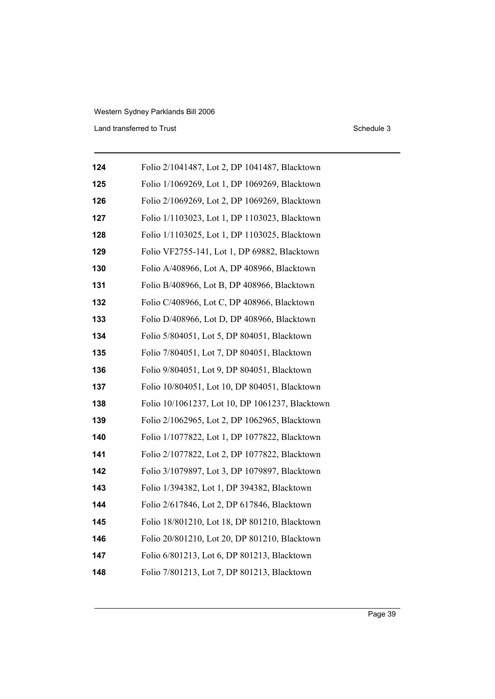# Western Sydney Parklands Bill 2006 Land transferred to Trust Schedule 3

| 124 | Folio 2/1041487, Lot 2, DP 1041487, Blacktown   |
|-----|-------------------------------------------------|
| 125 | Folio 1/1069269, Lot 1, DP 1069269, Blacktown   |
| 126 | Folio 2/1069269, Lot 2, DP 1069269, Blacktown   |
| 127 | Folio 1/1103023, Lot 1, DP 1103023, Blacktown   |
| 128 | Folio 1/1103025, Lot 1, DP 1103025, Blacktown   |
| 129 | Folio VF2755-141, Lot 1, DP 69882, Blacktown    |
| 130 | Folio A/408966, Lot A, DP 408966, Blacktown     |
| 131 | Folio B/408966, Lot B, DP 408966, Blacktown     |
| 132 | Folio C/408966, Lot C, DP 408966, Blacktown     |
| 133 | Folio D/408966, Lot D, DP 408966, Blacktown     |
| 134 | Folio 5/804051, Lot 5, DP 804051, Blacktown     |
| 135 | Folio 7/804051, Lot 7, DP 804051, Blacktown     |
| 136 | Folio 9/804051, Lot 9, DP 804051, Blacktown     |
| 137 | Folio 10/804051, Lot 10, DP 804051, Blacktown   |
| 138 | Folio 10/1061237, Lot 10, DP 1061237, Blacktown |
| 139 | Folio 2/1062965, Lot 2, DP 1062965, Blacktown   |
| 140 | Folio 1/1077822, Lot 1, DP 1077822, Blacktown   |
| 141 | Folio 2/1077822, Lot 2, DP 1077822, Blacktown   |
| 142 | Folio 3/1079897, Lot 3, DP 1079897, Blacktown   |
| 143 | Folio 1/394382, Lot 1, DP 394382, Blacktown     |
| 144 | Folio 2/617846, Lot 2, DP 617846, Blacktown     |
| 145 | Folio 18/801210, Lot 18, DP 801210, Blacktown   |
| 146 | Folio 20/801210, Lot 20, DP 801210, Blacktown   |
| 147 | Folio 6/801213, Lot 6, DP 801213, Blacktown     |
| 148 | Folio 7/801213, Lot 7, DP 801213, Blacktown     |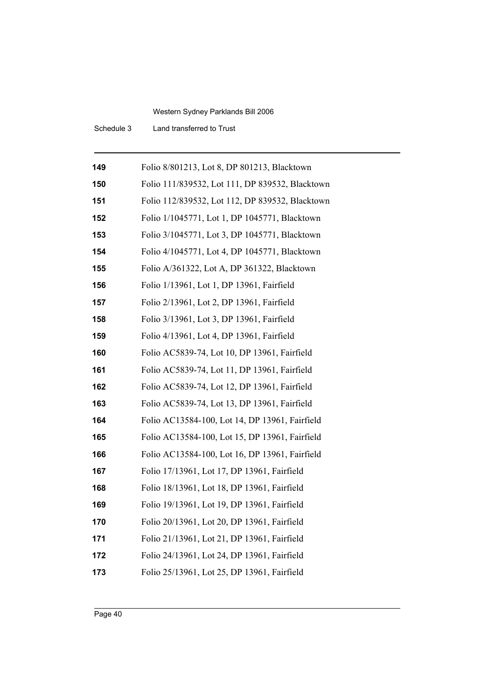Schedule 3 Land transferred to Trust

| 149 | Folio 8/801213, Lot 8, DP 801213, Blacktown     |
|-----|-------------------------------------------------|
| 150 | Folio 111/839532, Lot 111, DP 839532, Blacktown |
| 151 | Folio 112/839532, Lot 112, DP 839532, Blacktown |
| 152 | Folio 1/1045771, Lot 1, DP 1045771, Blacktown   |
| 153 | Folio 3/1045771, Lot 3, DP 1045771, Blacktown   |
| 154 | Folio 4/1045771, Lot 4, DP 1045771, Blacktown   |
| 155 | Folio A/361322, Lot A, DP 361322, Blacktown     |
| 156 | Folio 1/13961, Lot 1, DP 13961, Fairfield       |
| 157 | Folio 2/13961, Lot 2, DP 13961, Fairfield       |
| 158 | Folio 3/13961, Lot 3, DP 13961, Fairfield       |
| 159 | Folio 4/13961, Lot 4, DP 13961, Fairfield       |
| 160 | Folio AC5839-74, Lot 10, DP 13961, Fairfield    |
| 161 | Folio AC5839-74, Lot 11, DP 13961, Fairfield    |
| 162 | Folio AC5839-74, Lot 12, DP 13961, Fairfield    |
| 163 | Folio AC5839-74, Lot 13, DP 13961, Fairfield    |
| 164 | Folio AC13584-100, Lot 14, DP 13961, Fairfield  |
| 165 | Folio AC13584-100, Lot 15, DP 13961, Fairfield  |
| 166 | Folio AC13584-100, Lot 16, DP 13961, Fairfield  |
| 167 | Folio 17/13961, Lot 17, DP 13961, Fairfield     |
| 168 | Folio 18/13961, Lot 18, DP 13961, Fairfield     |
| 169 | Folio 19/13961, Lot 19, DP 13961, Fairfield     |
| 170 | Folio 20/13961, Lot 20, DP 13961, Fairfield     |
| 171 | Folio 21/13961, Lot 21, DP 13961, Fairfield     |
| 172 | Folio 24/13961, Lot 24, DP 13961, Fairfield     |
| 173 | Folio 25/13961, Lot 25, DP 13961, Fairfield     |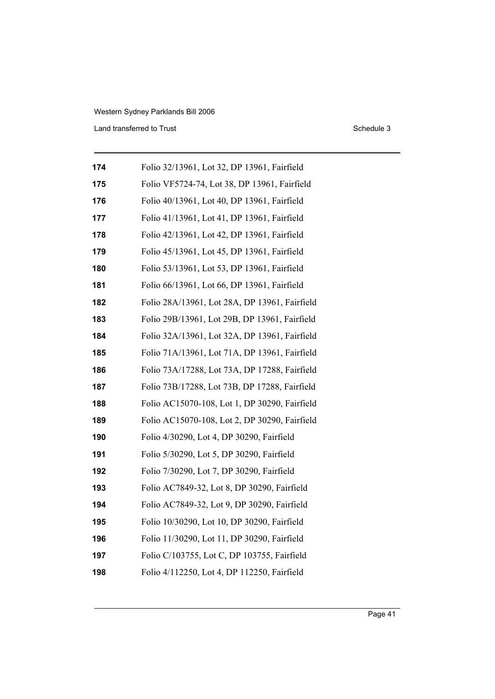Land transferred to Trust Schedule 3

| 174 | Folio 32/13961, Lot 32, DP 13961, Fairfield   |
|-----|-----------------------------------------------|
| 175 | Folio VF5724-74, Lot 38, DP 13961, Fairfield  |
| 176 | Folio 40/13961, Lot 40, DP 13961, Fairfield   |
| 177 | Folio 41/13961, Lot 41, DP 13961, Fairfield   |
| 178 | Folio 42/13961, Lot 42, DP 13961, Fairfield   |
| 179 | Folio 45/13961, Lot 45, DP 13961, Fairfield   |
| 180 | Folio 53/13961, Lot 53, DP 13961, Fairfield   |
| 181 | Folio 66/13961, Lot 66, DP 13961, Fairfield   |
| 182 | Folio 28A/13961, Lot 28A, DP 13961, Fairfield |
| 183 | Folio 29B/13961, Lot 29B, DP 13961, Fairfield |
| 184 | Folio 32A/13961, Lot 32A, DP 13961, Fairfield |
| 185 | Folio 71A/13961, Lot 71A, DP 13961, Fairfield |
| 186 | Folio 73A/17288, Lot 73A, DP 17288, Fairfield |
| 187 | Folio 73B/17288, Lot 73B, DP 17288, Fairfield |
| 188 | Folio AC15070-108, Lot 1, DP 30290, Fairfield |
| 189 | Folio AC15070-108, Lot 2, DP 30290, Fairfield |
| 190 | Folio 4/30290, Lot 4, DP 30290, Fairfield     |
| 191 | Folio 5/30290, Lot 5, DP 30290, Fairfield     |
| 192 | Folio 7/30290, Lot 7, DP 30290, Fairfield     |
| 193 | Folio AC7849-32, Lot 8, DP 30290, Fairfield   |
| 194 | Folio AC7849-32, Lot 9, DP 30290, Fairfield   |
| 195 | Folio 10/30290, Lot 10, DP 30290, Fairfield   |
| 196 | Folio 11/30290, Lot 11, DP 30290, Fairfield   |
| 197 | Folio C/103755, Lot C, DP 103755, Fairfield   |
| 198 | Folio 4/112250, Lot 4, DP 112250, Fairfield   |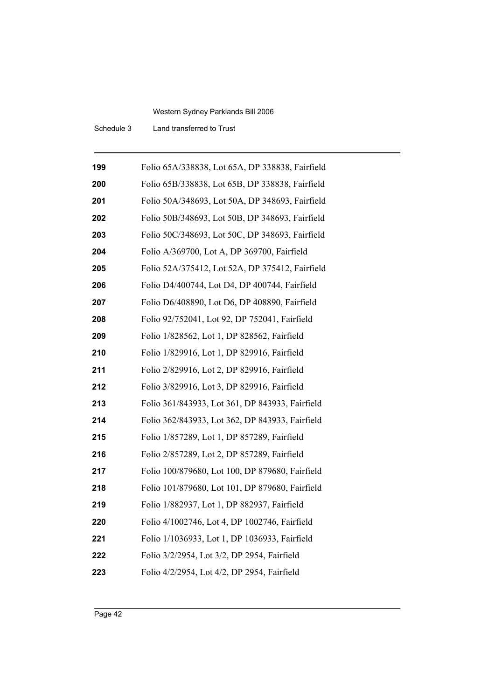Schedule 3 Land transferred to Trust

| 199 | Folio 65A/338838, Lot 65A, DP 338838, Fairfield |
|-----|-------------------------------------------------|
| 200 | Folio 65B/338838, Lot 65B, DP 338838, Fairfield |
| 201 | Folio 50A/348693, Lot 50A, DP 348693, Fairfield |
| 202 | Folio 50B/348693, Lot 50B, DP 348693, Fairfield |
| 203 | Folio 50C/348693, Lot 50C, DP 348693, Fairfield |
| 204 | Folio A/369700, Lot A, DP 369700, Fairfield     |
| 205 | Folio 52A/375412, Lot 52A, DP 375412, Fairfield |
| 206 | Folio D4/400744, Lot D4, DP 400744, Fairfield   |
| 207 | Folio D6/408890, Lot D6, DP 408890, Fairfield   |
| 208 | Folio 92/752041, Lot 92, DP 752041, Fairfield   |
| 209 | Folio 1/828562, Lot 1, DP 828562, Fairfield     |
| 210 | Folio 1/829916, Lot 1, DP 829916, Fairfield     |
| 211 | Folio 2/829916, Lot 2, DP 829916, Fairfield     |
| 212 | Folio 3/829916, Lot 3, DP 829916, Fairfield     |
| 213 | Folio 361/843933, Lot 361, DP 843933, Fairfield |
| 214 | Folio 362/843933, Lot 362, DP 843933, Fairfield |
| 215 | Folio 1/857289, Lot 1, DP 857289, Fairfield     |
| 216 | Folio 2/857289, Lot 2, DP 857289, Fairfield     |
| 217 | Folio 100/879680, Lot 100, DP 879680, Fairfield |
| 218 | Folio 101/879680, Lot 101, DP 879680, Fairfield |
| 219 | Folio 1/882937, Lot 1, DP 882937, Fairfield     |
| 220 | Folio 4/1002746, Lot 4, DP 1002746, Fairfield   |
| 221 | Folio 1/1036933, Lot 1, DP 1036933, Fairfield   |
| 222 | Folio 3/2/2954, Lot 3/2, DP 2954, Fairfield     |
| 223 | Folio 4/2/2954, Lot 4/2, DP 2954, Fairfield     |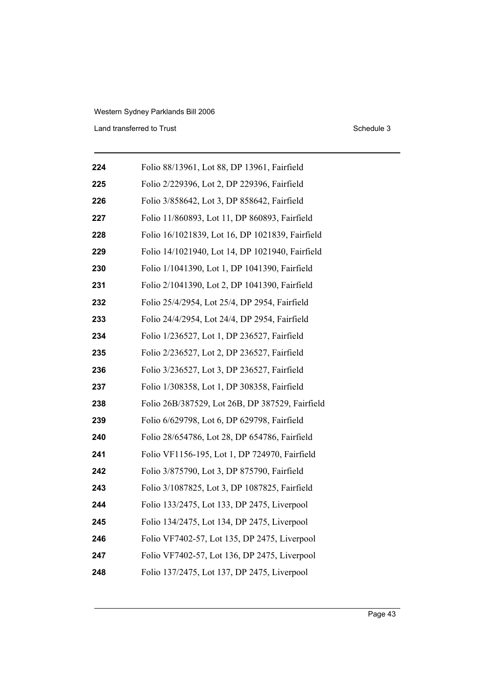Land transferred to Trust Schedule 3

| 224 | Folio 88/13961, Lot 88, DP 13961, Fairfield     |
|-----|-------------------------------------------------|
| 225 | Folio 2/229396, Lot 2, DP 229396, Fairfield     |
| 226 | Folio 3/858642, Lot 3, DP 858642, Fairfield     |
| 227 | Folio 11/860893, Lot 11, DP 860893, Fairfield   |
| 228 | Folio 16/1021839, Lot 16, DP 1021839, Fairfield |
| 229 | Folio 14/1021940, Lot 14, DP 1021940, Fairfield |
| 230 | Folio 1/1041390, Lot 1, DP 1041390, Fairfield   |
| 231 | Folio 2/1041390, Lot 2, DP 1041390, Fairfield   |
| 232 | Folio 25/4/2954, Lot 25/4, DP 2954, Fairfield   |
| 233 | Folio 24/4/2954, Lot 24/4, DP 2954, Fairfield   |
| 234 | Folio 1/236527, Lot 1, DP 236527, Fairfield     |
| 235 | Folio 2/236527, Lot 2, DP 236527, Fairfield     |
| 236 | Folio 3/236527, Lot 3, DP 236527, Fairfield     |
| 237 | Folio 1/308358, Lot 1, DP 308358, Fairfield     |
| 238 | Folio 26B/387529, Lot 26B, DP 387529, Fairfield |
| 239 | Folio 6/629798, Lot 6, DP 629798, Fairfield     |
| 240 | Folio 28/654786, Lot 28, DP 654786, Fairfield   |
| 241 | Folio VF1156-195, Lot 1, DP 724970, Fairfield   |
| 242 | Folio 3/875790, Lot 3, DP 875790, Fairfield     |
| 243 | Folio 3/1087825, Lot 3, DP 1087825, Fairfield   |
| 244 | Folio 133/2475, Lot 133, DP 2475, Liverpool     |
| 245 | Folio 134/2475, Lot 134, DP 2475, Liverpool     |
| 246 | Folio VF7402-57, Lot 135, DP 2475, Liverpool    |
| 247 | Folio VF7402-57, Lot 136, DP 2475, Liverpool    |
| 248 | Folio 137/2475, Lot 137, DP 2475, Liverpool     |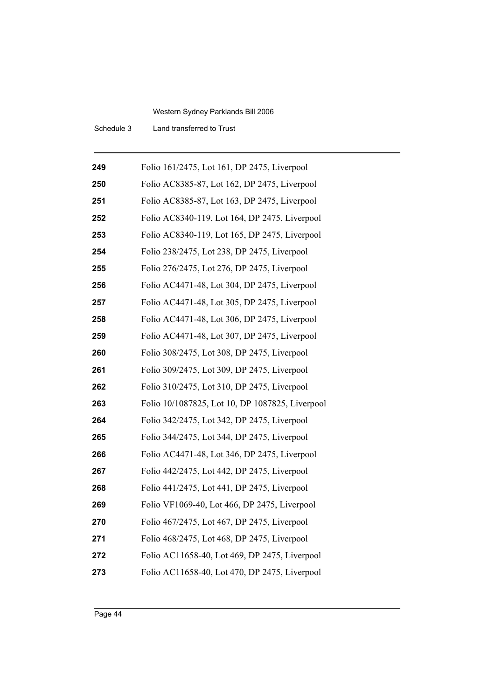Schedule 3 Land transferred to Trust

| 249 | Folio 161/2475, Lot 161, DP 2475, Liverpool     |
|-----|-------------------------------------------------|
| 250 | Folio AC8385-87, Lot 162, DP 2475, Liverpool    |
| 251 | Folio AC8385-87, Lot 163, DP 2475, Liverpool    |
| 252 | Folio AC8340-119, Lot 164, DP 2475, Liverpool   |
| 253 | Folio AC8340-119, Lot 165, DP 2475, Liverpool   |
| 254 | Folio 238/2475, Lot 238, DP 2475, Liverpool     |
| 255 | Folio 276/2475, Lot 276, DP 2475, Liverpool     |
| 256 | Folio AC4471-48, Lot 304, DP 2475, Liverpool    |
| 257 | Folio AC4471-48, Lot 305, DP 2475, Liverpool    |
| 258 | Folio AC4471-48, Lot 306, DP 2475, Liverpool    |
| 259 | Folio AC4471-48, Lot 307, DP 2475, Liverpool    |
| 260 | Folio 308/2475, Lot 308, DP 2475, Liverpool     |
| 261 | Folio 309/2475, Lot 309, DP 2475, Liverpool     |
| 262 | Folio 310/2475, Lot 310, DP 2475, Liverpool     |
| 263 | Folio 10/1087825, Lot 10, DP 1087825, Liverpool |
| 264 | Folio 342/2475, Lot 342, DP 2475, Liverpool     |
| 265 | Folio 344/2475, Lot 344, DP 2475, Liverpool     |
| 266 | Folio AC4471-48, Lot 346, DP 2475, Liverpool    |
| 267 | Folio 442/2475, Lot 442, DP 2475, Liverpool     |
| 268 | Folio 441/2475, Lot 441, DP 2475, Liverpool     |
| 269 | Folio VF1069-40, Lot 466, DP 2475, Liverpool    |
| 270 | Folio 467/2475, Lot 467, DP 2475, Liverpool     |
| 271 | Folio 468/2475, Lot 468, DP 2475, Liverpool     |
| 272 | Folio AC11658-40, Lot 469, DP 2475, Liverpool   |
| 273 | Folio AC11658-40, Lot 470, DP 2475, Liverpool   |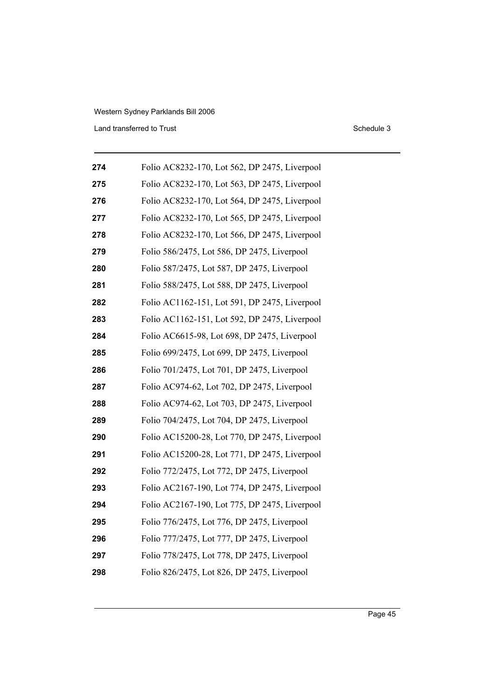Land transferred to Trust Schedule 3

| 274 | Folio AC8232-170, Lot 562, DP 2475, Liverpool |
|-----|-----------------------------------------------|
| 275 | Folio AC8232-170, Lot 563, DP 2475, Liverpool |
| 276 | Folio AC8232-170, Lot 564, DP 2475, Liverpool |
| 277 | Folio AC8232-170, Lot 565, DP 2475, Liverpool |
| 278 | Folio AC8232-170, Lot 566, DP 2475, Liverpool |
| 279 | Folio 586/2475, Lot 586, DP 2475, Liverpool   |
| 280 | Folio 587/2475, Lot 587, DP 2475, Liverpool   |
| 281 | Folio 588/2475, Lot 588, DP 2475, Liverpool   |
| 282 | Folio AC1162-151, Lot 591, DP 2475, Liverpool |
| 283 | Folio AC1162-151, Lot 592, DP 2475, Liverpool |
| 284 | Folio AC6615-98, Lot 698, DP 2475, Liverpool  |
| 285 | Folio 699/2475, Lot 699, DP 2475, Liverpool   |
| 286 | Folio 701/2475, Lot 701, DP 2475, Liverpool   |
| 287 | Folio AC974-62, Lot 702, DP 2475, Liverpool   |
| 288 | Folio AC974-62, Lot 703, DP 2475, Liverpool   |
| 289 | Folio 704/2475, Lot 704, DP 2475, Liverpool   |
| 290 | Folio AC15200-28, Lot 770, DP 2475, Liverpool |
| 291 | Folio AC15200-28, Lot 771, DP 2475, Liverpool |
| 292 | Folio 772/2475, Lot 772, DP 2475, Liverpool   |
| 293 | Folio AC2167-190, Lot 774, DP 2475, Liverpool |
| 294 | Folio AC2167-190, Lot 775, DP 2475, Liverpool |
| 295 | Folio 776/2475, Lot 776, DP 2475, Liverpool   |
| 296 | Folio 777/2475, Lot 777, DP 2475, Liverpool   |
| 297 | Folio 778/2475, Lot 778, DP 2475, Liverpool   |
| 298 | Folio 826/2475, Lot 826, DP 2475, Liverpool   |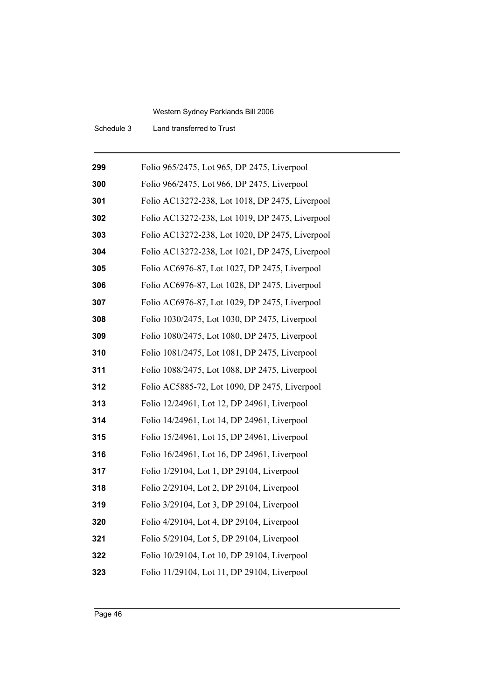Schedule 3 Land transferred to Trust

| 299 | Folio 965/2475, Lot 965, DP 2475, Liverpool     |
|-----|-------------------------------------------------|
| 300 | Folio 966/2475, Lot 966, DP 2475, Liverpool     |
| 301 | Folio AC13272-238, Lot 1018, DP 2475, Liverpool |
| 302 | Folio AC13272-238, Lot 1019, DP 2475, Liverpool |
| 303 | Folio AC13272-238, Lot 1020, DP 2475, Liverpool |
| 304 | Folio AC13272-238, Lot 1021, DP 2475, Liverpool |
| 305 | Folio AC6976-87, Lot 1027, DP 2475, Liverpool   |
| 306 | Folio AC6976-87, Lot 1028, DP 2475, Liverpool   |
| 307 | Folio AC6976-87, Lot 1029, DP 2475, Liverpool   |
| 308 | Folio 1030/2475, Lot 1030, DP 2475, Liverpool   |
| 309 | Folio 1080/2475, Lot 1080, DP 2475, Liverpool   |
| 310 | Folio 1081/2475, Lot 1081, DP 2475, Liverpool   |
| 311 | Folio 1088/2475, Lot 1088, DP 2475, Liverpool   |
| 312 | Folio AC5885-72, Lot 1090, DP 2475, Liverpool   |
| 313 | Folio 12/24961, Lot 12, DP 24961, Liverpool     |
| 314 | Folio 14/24961, Lot 14, DP 24961, Liverpool     |
| 315 | Folio 15/24961, Lot 15, DP 24961, Liverpool     |
| 316 | Folio 16/24961, Lot 16, DP 24961, Liverpool     |
| 317 | Folio 1/29104, Lot 1, DP 29104, Liverpool       |
| 318 | Folio 2/29104, Lot 2, DP 29104, Liverpool       |
| 319 | Folio 3/29104, Lot 3, DP 29104, Liverpool       |
| 320 | Folio 4/29104, Lot 4, DP 29104, Liverpool       |
| 321 | Folio 5/29104, Lot 5, DP 29104, Liverpool       |
| 322 | Folio 10/29104, Lot 10, DP 29104, Liverpool     |
| 323 | Folio 11/29104, Lot 11, DP 29104, Liverpool     |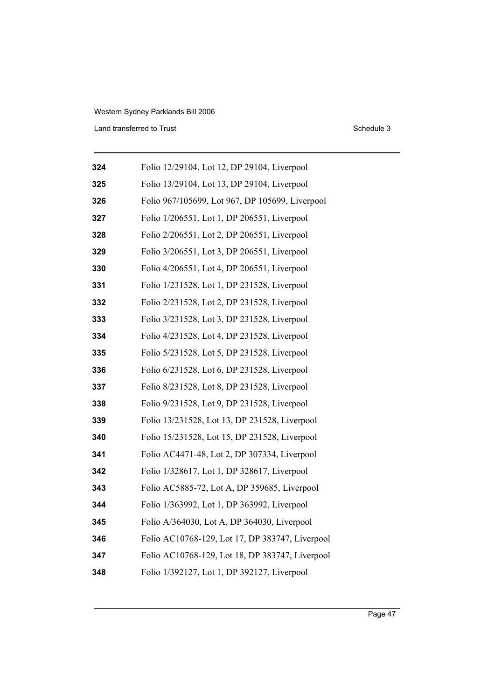Land transferred to Trust Schedule 3

| 324 | Folio 12/29104, Lot 12, DP 29104, Liverpool     |
|-----|-------------------------------------------------|
| 325 | Folio 13/29104, Lot 13, DP 29104, Liverpool     |
| 326 | Folio 967/105699, Lot 967, DP 105699, Liverpool |
| 327 | Folio 1/206551, Lot 1, DP 206551, Liverpool     |
| 328 | Folio 2/206551, Lot 2, DP 206551, Liverpool     |
| 329 | Folio 3/206551, Lot 3, DP 206551, Liverpool     |
| 330 | Folio 4/206551, Lot 4, DP 206551, Liverpool     |
| 331 | Folio 1/231528, Lot 1, DP 231528, Liverpool     |
| 332 | Folio 2/231528, Lot 2, DP 231528, Liverpool     |
| 333 | Folio 3/231528, Lot 3, DP 231528, Liverpool     |
| 334 | Folio 4/231528, Lot 4, DP 231528, Liverpool     |
| 335 | Folio 5/231528, Lot 5, DP 231528, Liverpool     |
| 336 | Folio 6/231528, Lot 6, DP 231528, Liverpool     |
| 337 | Folio 8/231528, Lot 8, DP 231528, Liverpool     |
| 338 | Folio 9/231528, Lot 9, DP 231528, Liverpool     |
| 339 | Folio 13/231528, Lot 13, DP 231528, Liverpool   |
| 340 | Folio 15/231528, Lot 15, DP 231528, Liverpool   |
| 341 | Folio AC4471-48, Lot 2, DP 307334, Liverpool    |
| 342 | Folio 1/328617, Lot 1, DP 328617, Liverpool     |
| 343 | Folio AC5885-72, Lot A, DP 359685, Liverpool    |
| 344 | Folio 1/363992, Lot 1, DP 363992, Liverpool     |
| 345 | Folio A/364030, Lot A, DP 364030, Liverpool     |
| 346 | Folio AC10768-129, Lot 17, DP 383747, Liverpool |
| 347 | Folio AC10768-129, Lot 18, DP 383747, Liverpool |
| 348 | Folio 1/392127, Lot 1, DP 392127, Liverpool     |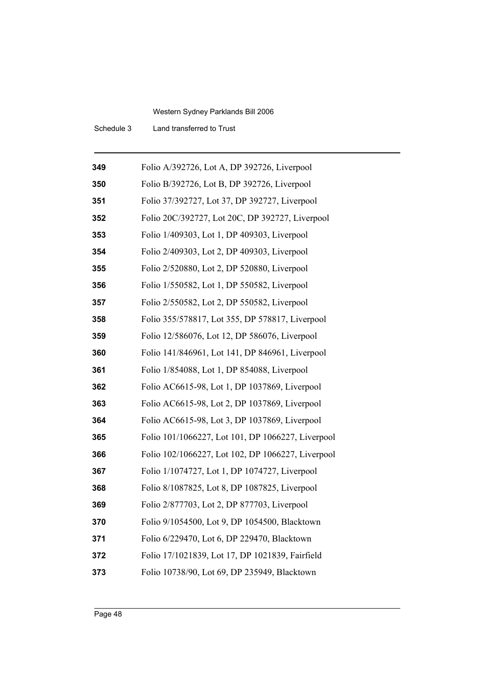Schedule 3 Land transferred to Trust

| 349 | Folio A/392726, Lot A, DP 392726, Liverpool       |
|-----|---------------------------------------------------|
| 350 | Folio B/392726, Lot B, DP 392726, Liverpool       |
| 351 | Folio 37/392727, Lot 37, DP 392727, Liverpool     |
| 352 | Folio 20C/392727, Lot 20C, DP 392727, Liverpool   |
| 353 | Folio 1/409303, Lot 1, DP 409303, Liverpool       |
| 354 | Folio 2/409303, Lot 2, DP 409303, Liverpool       |
| 355 | Folio 2/520880, Lot 2, DP 520880, Liverpool       |
| 356 | Folio 1/550582, Lot 1, DP 550582, Liverpool       |
| 357 | Folio 2/550582, Lot 2, DP 550582, Liverpool       |
| 358 | Folio 355/578817, Lot 355, DP 578817, Liverpool   |
| 359 | Folio 12/586076, Lot 12, DP 586076, Liverpool     |
| 360 | Folio 141/846961, Lot 141, DP 846961, Liverpool   |
| 361 | Folio 1/854088, Lot 1, DP 854088, Liverpool       |
| 362 | Folio AC6615-98, Lot 1, DP 1037869, Liverpool     |
| 363 | Folio AC6615-98, Lot 2, DP 1037869, Liverpool     |
| 364 | Folio AC6615-98, Lot 3, DP 1037869, Liverpool     |
| 365 | Folio 101/1066227, Lot 101, DP 1066227, Liverpool |
| 366 | Folio 102/1066227, Lot 102, DP 1066227, Liverpool |
| 367 | Folio 1/1074727, Lot 1, DP 1074727, Liverpool     |
| 368 | Folio 8/1087825, Lot 8, DP 1087825, Liverpool     |
| 369 | Folio 2/877703, Lot 2, DP 877703, Liverpool       |
| 370 | Folio 9/1054500, Lot 9, DP 1054500, Blacktown     |
| 371 | Folio 6/229470, Lot 6, DP 229470, Blacktown       |
| 372 | Folio 17/1021839, Lot 17, DP 1021839, Fairfield   |
| 373 | Folio 10738/90, Lot 69, DP 235949, Blacktown      |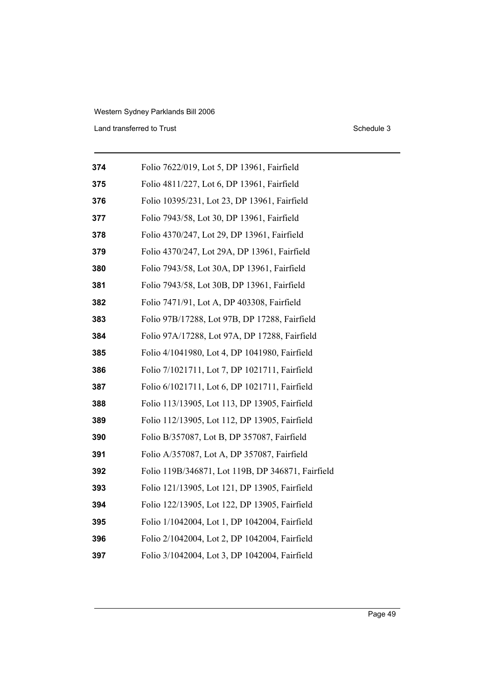Land transferred to Trust Schedule 3

| 374 | Folio 7622/019, Lot 5, DP 13961, Fairfield        |
|-----|---------------------------------------------------|
| 375 | Folio 4811/227, Lot 6, DP 13961, Fairfield        |
| 376 | Folio 10395/231, Lot 23, DP 13961, Fairfield      |
| 377 | Folio 7943/58, Lot 30, DP 13961, Fairfield        |
| 378 | Folio 4370/247, Lot 29, DP 13961, Fairfield       |
| 379 | Folio 4370/247, Lot 29A, DP 13961, Fairfield      |
| 380 | Folio 7943/58, Lot 30A, DP 13961, Fairfield       |
| 381 | Folio 7943/58, Lot 30B, DP 13961, Fairfield       |
| 382 | Folio 7471/91, Lot A, DP 403308, Fairfield        |
| 383 | Folio 97B/17288, Lot 97B, DP 17288, Fairfield     |
| 384 | Folio 97A/17288, Lot 97A, DP 17288, Fairfield     |
| 385 | Folio 4/1041980, Lot 4, DP 1041980, Fairfield     |
| 386 | Folio 7/1021711, Lot 7, DP 1021711, Fairfield     |
| 387 | Folio 6/1021711, Lot 6, DP 1021711, Fairfield     |
| 388 | Folio 113/13905, Lot 113, DP 13905, Fairfield     |
| 389 | Folio 112/13905, Lot 112, DP 13905, Fairfield     |
| 390 | Folio B/357087, Lot B, DP 357087, Fairfield       |
| 391 | Folio A/357087, Lot A, DP 357087, Fairfield       |
| 392 | Folio 119B/346871, Lot 119B, DP 346871, Fairfield |
| 393 | Folio 121/13905, Lot 121, DP 13905, Fairfield     |
| 394 | Folio 122/13905, Lot 122, DP 13905, Fairfield     |
| 395 | Folio 1/1042004, Lot 1, DP 1042004, Fairfield     |
| 396 | Folio 2/1042004, Lot 2, DP 1042004, Fairfield     |
| 397 | Folio 3/1042004, Lot 3, DP 1042004, Fairfield     |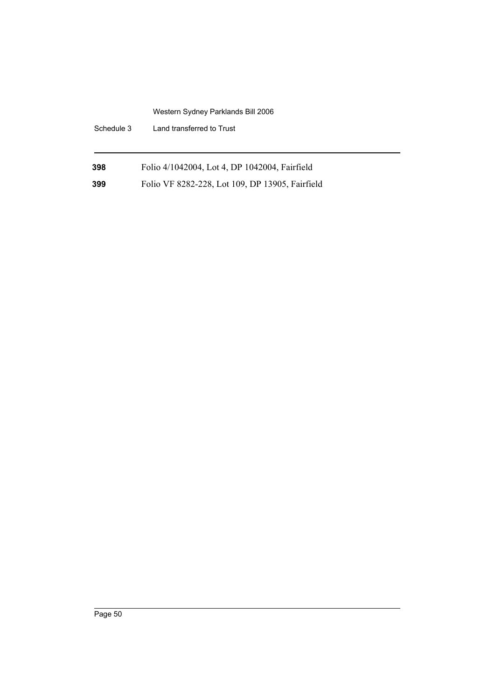| Schedule 3 | Land transferred to Trust                       |
|------------|-------------------------------------------------|
| 398        | Folio 4/1042004, Lot 4, DP 1042004, Fairfield   |
| 399        | Folio VF 8282-228, Lot 109, DP 13905, Fairfield |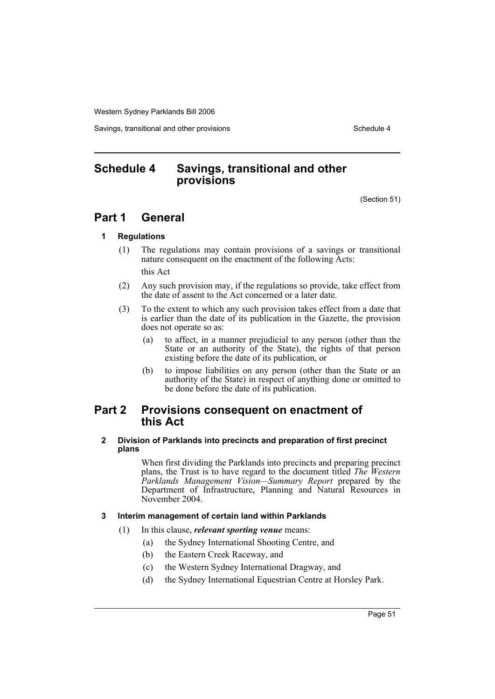Savings, transitional and other provisions Schedule 4 and the schedule 4

# **Schedule 4 Savings, transitional and other provisions**

(Section 51)

# **Part 1 General**

## **1 Regulations**

(1) The regulations may contain provisions of a savings or transitional nature consequent on the enactment of the following Acts:

this Act

- (2) Any such provision may, if the regulations so provide, take effect from the date of assent to the Act concerned or a later date.
- (3) To the extent to which any such provision takes effect from a date that is earlier than the date of its publication in the Gazette, the provision does not operate so as:
	- (a) to affect, in a manner prejudicial to any person (other than the State or an authority of the State), the rights of that person existing before the date of its publication, or
	- (b) to impose liabilities on any person (other than the State or an authority of the State) in respect of anything done or omitted to be done before the date of its publication.

# **Part 2 Provisions consequent on enactment of this Act**

## **2 Division of Parklands into precincts and preparation of first precinct plans**

When first dividing the Parklands into precincts and preparing precinct plans, the Trust is to have regard to the document titled *The Western Parklands Management Vision—Summary Report* prepared by the Department of Infrastructure, Planning and Natural Resources in November 2004.

# **3 Interim management of certain land within Parklands**

- (1) In this clause, *relevant sporting venue* means:
	- (a) the Sydney International Shooting Centre, and
	- (b) the Eastern Creek Raceway, and
	- (c) the Western Sydney International Dragway, and
	- (d) the Sydney International Equestrian Centre at Horsley Park.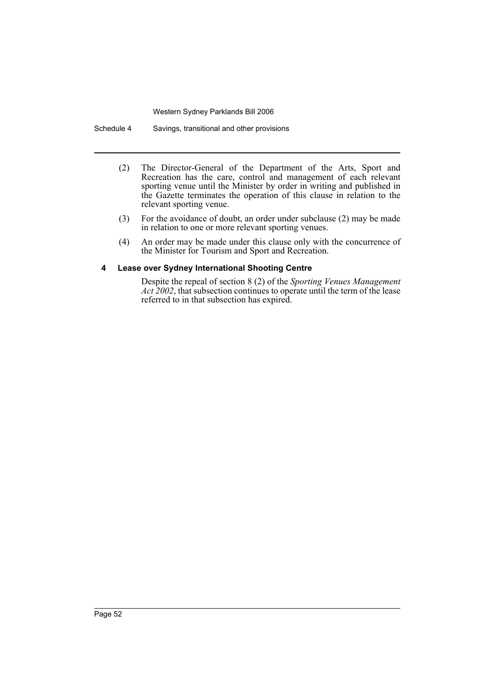Schedule 4 Savings, transitional and other provisions

- (2) The Director-General of the Department of the Arts, Sport and Recreation has the care, control and management of each relevant sporting venue until the Minister by order in writing and published in the Gazette terminates the operation of this clause in relation to the relevant sporting venue.
- (3) For the avoidance of doubt, an order under subclause (2) may be made in relation to one or more relevant sporting venues.
- (4) An order may be made under this clause only with the concurrence of the Minister for Tourism and Sport and Recreation.

## **4 Lease over Sydney International Shooting Centre**

Despite the repeal of section 8 (2) of the *Sporting Venues Management Act 2002*, that subsection continues to operate until the term of the lease referred to in that subsection has expired.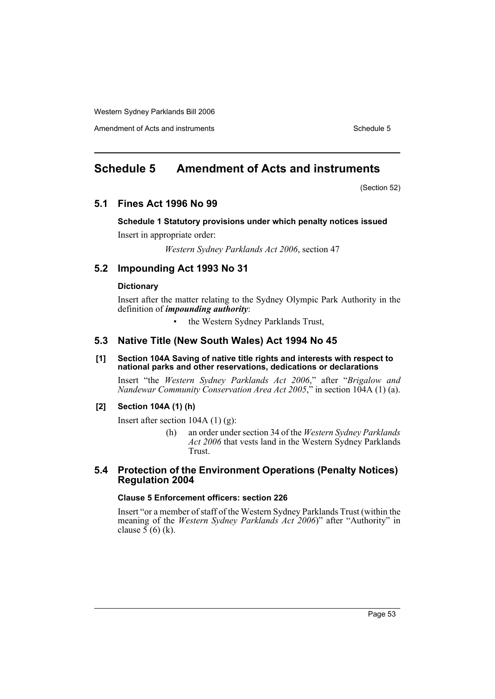Amendment of Acts and instruments Schedule 5

# **Schedule 5 Amendment of Acts and instruments**

(Section 52)

# **5.1 Fines Act 1996 No 99**

# **Schedule 1 Statutory provisions under which penalty notices issued**

Insert in appropriate order:

*Western Sydney Parklands Act 2006*, section 47

# **5.2 Impounding Act 1993 No 31**

# **Dictionary**

Insert after the matter relating to the Sydney Olympic Park Authority in the definition of *impounding authority*:

• the Western Sydney Parklands Trust,

# **5.3 Native Title (New South Wales) Act 1994 No 45**

#### **[1] Section 104A Saving of native title rights and interests with respect to national parks and other reservations, dedications or declarations**

Insert "the *Western Sydney Parklands Act 2006*," after "*Brigalow and Nandewar Community Conservation Area Act 2005*," in section 104A (1) (a).

## **[2] Section 104A (1) (h)**

Insert after section  $104A(1)(g)$ :

(h) an order under section 34 of the *Western Sydney Parklands Act 2006* that vests land in the Western Sydney Parklands Trust.

# **5.4 Protection of the Environment Operations (Penalty Notices) Regulation 2004**

# **Clause 5 Enforcement officers: section 226**

Insert "or a member of staff of the Western Sydney Parklands Trust (within the meaning of the *Western Sydney Parklands Act 2006*)" after "Authority" in clause  $5(6)$  (k).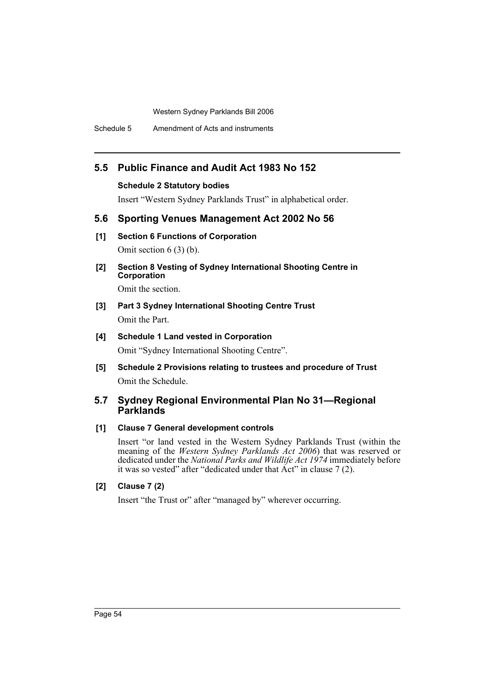Schedule 5 Amendment of Acts and instruments

# **5.5 Public Finance and Audit Act 1983 No 152**

## **Schedule 2 Statutory bodies**

Insert "Western Sydney Parklands Trust" in alphabetical order.

# **5.6 Sporting Venues Management Act 2002 No 56**

- **[1] Section 6 Functions of Corporation** Omit section 6 (3) (b).
- **[2] Section 8 Vesting of Sydney International Shooting Centre in Corporation**

Omit the section.

- **[3] Part 3 Sydney International Shooting Centre Trust** Omit the Part.
- **[4] Schedule 1 Land vested in Corporation** Omit "Sydney International Shooting Centre".
- **[5] Schedule 2 Provisions relating to trustees and procedure of Trust** Omit the Schedule.

# **5.7 Sydney Regional Environmental Plan No 31—Regional Parklands**

# **[1] Clause 7 General development controls**

Insert "or land vested in the Western Sydney Parklands Trust (within the meaning of the *Western Sydney Parklands Act 2006*) that was reserved or dedicated under the *National Parks and Wildlife Act 1974* immediately before it was so vested" after "dedicated under that Act" in clause 7 (2).

# **[2] Clause 7 (2)**

Insert "the Trust or" after "managed by" wherever occurring.